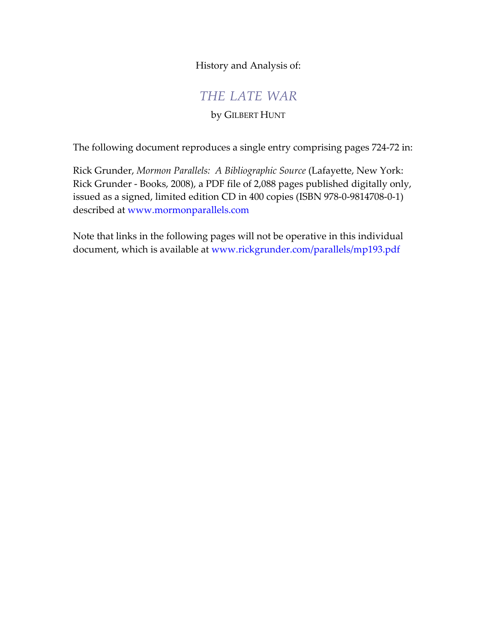History and Analysis of:

# *THE LATE WAR*

# by GILBERT HUNT

The following document reproduces a single entry comprising pages 724-72 in:

Rick Grunder, *Mormon Parallels: A Bibliographic Source* (Lafayette, New York: Rick Grunder - Books, 2008), a PDF file of 2,088 pages published digitally only, issued as a signed, limited edition CD in 400 copies (ISBN 978-0-9814708-0-1) described a[t www.mormonparallels.com](http://www.mormonparallels.com) 

Note that links in the following pages will not be operative in this individual document, which is available a[t www.rickgrunder.com/parallels/mp193.pdf](http://www.rickgrunder.com/parallels/mp193.pdf)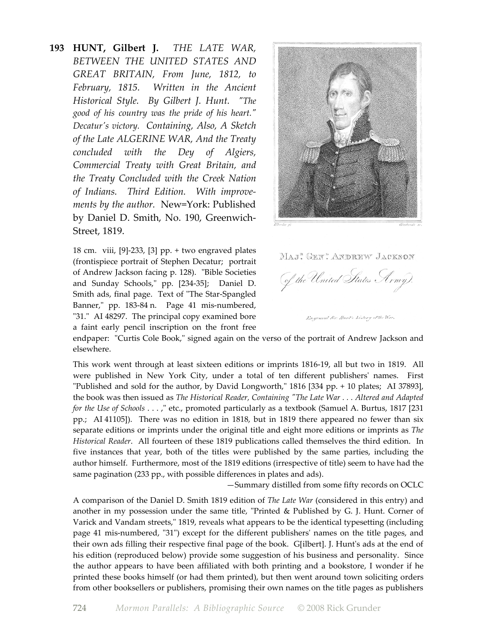**193 HUNT, Gilbert J.** *THE LATE WAR, BETWEEN THE UNITED STATES AND GREAT BRITAIN, From June, 1812, to February, 1815. Written in the Ancient Historical Style. By Gilbert J. Hunt. "The good of his country was the pride of his heart." Decatur's victory. Containing, Also, A Sketch of the Late ALGERINE WAR, And the Treaty concluded with the Dey of Algiers, Commercial Treaty with Great Britain, and the Treaty Concluded with the Creek Nation of Indians. Third Edition. With improvements by the author.* New=York: Published by Daniel D. Smith, No. 190, Greenwich-Street, 1819.

> 18 cm. viii, [9]-233, [3] pp. + two engraved plates (frontispiece portrait of Stephen Decatur; portrait of Andrew Jackson facing p. 128). "Bible Societies and Sunday Schools," pp. [234-35]; Daniel D. Smith ads, final page. Text of "The Star-Spangled Banner," pp. 183-84 n. Page 41 mis-numbered, "31." AI 48297. The principal copy examined bore a faint early pencil inscription on the front free



Maj" Gen" Andrew Jackson

(of the United States Army). Engraved for Hunt's history of the War.

endpaper: "Curtis Cole Book," signed again on the verso of the portrait of Andrew Jackson and elsewhere.

This work went through at least sixteen editions or imprints 1816-19, all but two in 1819. All were published in New York City, under a total of ten different publishers' names. First "Published and sold for the author, by David Longworth," 1816 [334 pp. + 10 plates; AI 37893], the book was then issued as *The Historical Reader, Containing "The Late War . . . Altered and Adapted for the Use of Schools* . . . ," etc., promoted particularly as a textbook (Samuel A. Burtus, 1817 [231 pp.; AI 41105]). There was no edition in 1818, but in 1819 there appeared no fewer than six separate editions or imprints under the original title and eight more editions or imprints as *The Historical Reader*. All fourteen of these 1819 publications called themselves the third edition. In five instances that year, both of the titles were published by the same parties, including the author himself. Furthermore, most of the 1819 editions (irrespective of title) seem to have had the same pagination (233 pp., with possible differences in plates and ads).

—Summary distilled from some fifty records on OCLC

A comparison of the Daniel D. Smith 1819 edition of *The Late War* (considered in this entry) and another in my possession under the same title, "Printed & Published by G. J. Hunt. Corner of Varick and Vandam streets," 1819, reveals what appears to be the identical typesetting (including page 41 mis-numbered, "31") except for the different publishers' names on the title pages, and their own ads filling their respective final page of the book. G[ilbert]. J. Hunt's ads at the end of his edition (reproduced below) provide some suggestion of his business and personality. Since the author appears to have been affiliated with both printing and a bookstore, I wonder if he printed these books himself (or had them printed), but then went around town soliciting orders from other booksellers or publishers, promising their own names on the title pages as publishers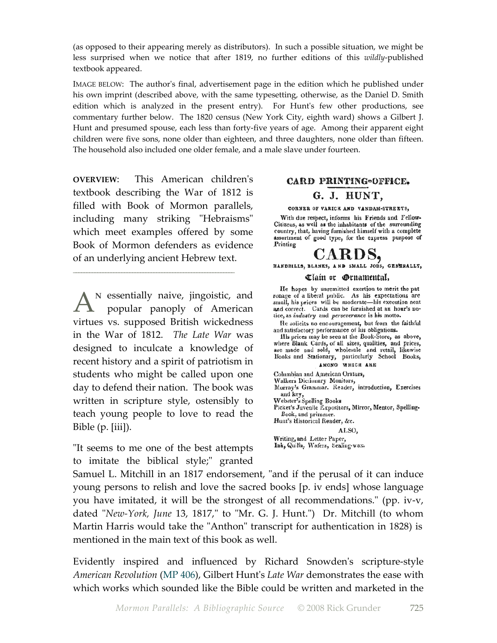(as opposed to their appearing merely as distributors). In such a possible situation, we might be less surprised when we notice that after 1819, no further editions of this *wildly*-published textbook appeared.

IMAGE BELOW: The author's final, advertisement page in the edition which he published under his own imprint (described above, with the same typesetting, otherwise, as the Daniel D. Smith edition which is analyzed in the present entry). For Hunt's few other productions, see commentary further below. The 1820 census (New York City, eighth ward) shows a Gilbert J. Hunt and presumed spouse, each less than forty-five years of age. Among their apparent eight children were five sons, none older than eighteen, and three daughters, none older than fifteen. The household also included one older female, and a male slave under fourteen.

**OVERVIEW**: This American children's textbook describing the War of 1812 is filled with Book of Mormon parallels, including many striking "Hebraisms" which meet examples offered by some Book of Mormon defenders as evidence of an underlying ancient Hebrew text.

\_\_\_\_\_\_\_\_\_\_\_\_\_\_\_\_\_\_\_\_\_\_\_\_\_\_\_\_\_\_\_\_\_\_\_\_\_\_\_\_\_\_\_\_\_\_\_\_\_\_\_\_\_\_\_\_\_\_\_\_

A<sup>N</sup> essentially naive, jingoistic, and<br>popular panoply of American popular panoply of American virtues vs. supposed British wickedness in the War of 1812. *The Late War* was designed to inculcate a knowledge of recent history and a spirit of patriotism in students who might be called upon one day to defend their nation. The book was written in scripture style, ostensibly to teach young people to love to read the Bible (p. [iii]).

"It seems to me one of the best attempts to imitate the biblical style;" granted

#### CARD PRINTING=OFFICE.

#### G. J. HUNT,

#### CORNER OF VARICK AND VANDAM-STREETS,

With due respect, informs his Friends and Fellow-Citizens, as well as the inhabitants of the surrounding country, that, having furnished himself with a complete assortment of good type, for the express purpose of Printing

# CARDS,

HANDBILLS, BLANKS, AND SMALL JOBS, GENERALLY,

#### Clain or Grnamental,

He hopes by unremitted exertion to merit the pat ronage of a liberal public. As his expectations are small, his prices will be moderate—his execution neat and correct. Cards can be furnished at an hour's no-<br>tice, as *industry* and *perseverance* is his motto.

He solicits no encouragement, but from the faithful and satisfactory performance of his obligations.

Ills prices may be seen at the Book-Store, as above, where Blank Cards, of all sizes, qualities, and prices, are made and sold, wholesale and retail, likewise Books and Stationary, particularly School Books, AMONG WHICH ARE

Columbian and American Orators,

Walkers Dictionary Monitors,

Murray's Grammar. Reader, introduction, Exercises

marrays oranimar. Reader, introduction, Exercises<br>and key,<br>Webster's Spelling Books<br>Picket's Juvenile Expositors, Mirror, Mentor, Spelling-Book, and primmer.

Hunt's Historical Reader, &c.

ALSO. Writing, and Letter Paper,

Ink, Quilis, Wafers, Sealing-wax.

Samuel L. Mitchill in an 1817 endorsement, "and if the perusal of it can induce young persons to relish and love the sacred books [p. iv ends] whose language you have imitated, it will be the strongest of all recommendations." (pp. iv-v, dated "*New-York, June* 13, 1817," to "Mr. G. J. Hunt.") Dr. Mitchill (to whom Martin Harris would take the "Anthon" transcript for authentication in 1828) is mentioned in the main text of this book as well.

Evidently inspired and influenced by Richard Snowden's scripture-style *American Revolution* (MP 406), Gilbert Hunt's *Late War* demonstrates the ease with which works which sounded like the Bible could be written and marketed in the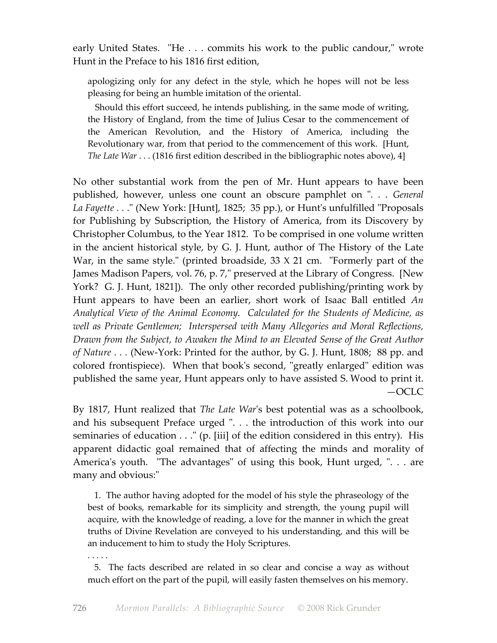early United States. "He . . . commits his work to the public candour," wrote Hunt in the Preface to his 1816 first edition,

apologizing only for any defect in the style, which he hopes will not be less pleasing for being an humble imitation of the oriental.

 Should this effort succeed, he intends publishing, in the same mode of writing, the History of England, from the time of Julius Cesar to the commencement of the American Revolution, and the History of America, including the Revolutionary war, from that period to the commencement of this work. [Hunt, *The Late War* . . . (1816 first edition described in the bibliographic notes above), 4]

No other substantial work from the pen of Mr. Hunt appears to have been published, however, unless one count an obscure pamphlet on "*. . . General La Fayette . . .*" (New York: [Hunt], 1825; 35 pp.), or Hunt's unfulfilled "Proposals for Publishing by Subscription, the History of America, from its Discovery by Christopher Columbus, to the Year 1812. To be comprised in one volume written in the ancient historical style, by G. J. Hunt, author of The History of the Late War, in the same style." (printed broadside, 33 X 21 cm. "Formerly part of the James Madison Papers, vol. 76, p. 7," preserved at the Library of Congress. [New York? G. J. Hunt, 1821]). The only other recorded publishing/printing work by Hunt appears to have been an earlier, short work of Isaac Ball entitled *An Analytical View of the Animal Economy. Calculated for the Students of Medicine, as well as Private Gentlemen; Interspersed with Many Allegories and Moral Reflections, Drawn from the Subject, to Awaken the Mind to an Elevated Sense of the Great Author of Nature . . .* (New-York: Printed for the author, by G. J. Hunt, 1808; 88 pp. and colored frontispiece). When that book's second, "greatly enlarged" edition was published the same year, Hunt appears only to have assisted S. Wood to print it. —OCLC

By 1817, Hunt realized that *The Late War*'s best potential was as a schoolbook, and his subsequent Preface urged ". . . the introduction of this work into our seminaries of education . . ." (p. [iii] of the edition considered in this entry). His apparent didactic goal remained that of affecting the minds and morality of America's youth. "The advantages" of using this book, Hunt urged, ". . . are many and obvious:"

1. The author having adopted for the model of his style the phraseology of the best of books, remarkable for its simplicity and strength, the young pupil will acquire, with the knowledge of reading, a love for the manner in which the great truths of Divine Revelation are conveyed to his understanding, and this will be an inducement to him to study the Holy Scriptures.

. . . . .

 5. The facts described are related in so clear and concise a way as without much effort on the part of the pupil, will easily fasten themselves on his memory.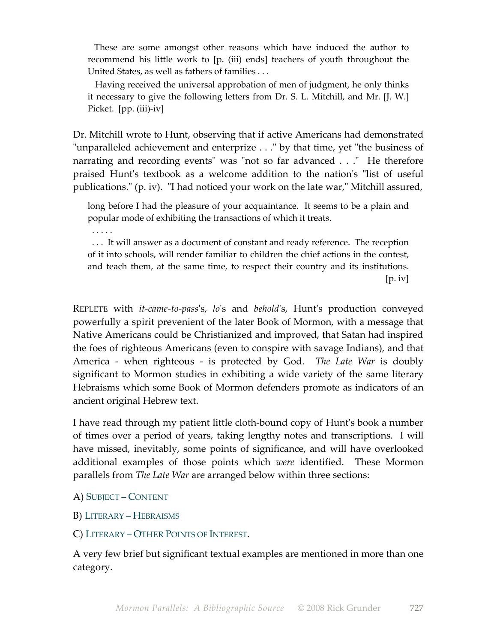These are some amongst other reasons which have induced the author to recommend his little work to [p. (iii) ends] teachers of youth throughout the United States, as well as fathers of families . . .

 Having received the universal approbation of men of judgment, he only thinks it necessary to give the following letters from Dr. S. L. Mitchill, and Mr. [J. W.] Picket. [pp. (iii)-iv]

Dr. Mitchill wrote to Hunt, observing that if active Americans had demonstrated "unparalleled achievement and enterprize . . ." by that time, yet "the business of narrating and recording events" was "not so far advanced . . ." He therefore praised Hunt's textbook as a welcome addition to the nation's "list of useful publications." (p. iv). "I had noticed your work on the late war," Mitchill assured,

long before I had the pleasure of your acquaintance. It seems to be a plain and popular mode of exhibiting the transactions of which it treats.

. . . . .

 . . . It will answer as a document of constant and ready reference. The reception of it into schools, will render familiar to children the chief actions in the contest, and teach them, at the same time, to respect their country and its institutions.  $[p. iv]$ 

REPLETE with *it-came-to-pass*'s, *lo*'s and *behold*'s, Hunt's production conveyed powerfully a spirit prevenient of the later Book of Mormon, with a message that Native Americans could be Christianized and improved, that Satan had inspired the foes of righteous Americans (even to conspire with savage Indians), and that America - when righteous - is protected by God. *The Late War* is doubly significant to Mormon studies in exhibiting a wide variety of the same literary Hebraisms which some Book of Mormon defenders promote as indicators of an ancient original Hebrew text.

I have read through my patient little cloth-bound copy of Hunt's book a number of times over a period of years, taking lengthy notes and transcriptions. I will have missed, inevitably, some points of significance, and will have overlooked additional examples of those points which *were* identified. These Mormon parallels from *The Late War* are arranged below within three sections:

A) SUBJECT – CONTENT

- B) LITERARY HEBRAISMS
- C) LITERARY OTHER POINTS OF INTEREST.

A very few brief but significant textual examples are mentioned in more than one category.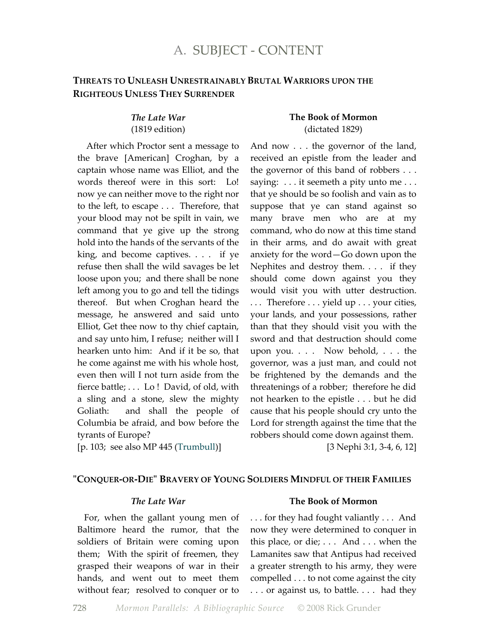# **THREATS TO UNLEASH UNRESTRAINABLY BRUTAL WARRIORS UPON THE RIGHTEOUS UNLESS THEY SURRENDER**

#### *The Late War* (1819 edition)

 After which Proctor sent a message to the brave [American] Croghan, by a captain whose name was Elliot, and the words thereof were in this sort: Lo! now ye can neither move to the right nor to the left, to escape . . . Therefore, that your blood may not be spilt in vain, we command that ye give up the strong hold into the hands of the servants of the king, and become captives. . . . if ye refuse then shall the wild savages be let loose upon you; and there shall be none left among you to go and tell the tidings thereof. But when Croghan heard the message, he answered and said unto Elliot, Get thee now to thy chief captain, and say unto him, I refuse; neither will I hearken unto him: And if it be so, that he come against me with his whole host, even then will I not turn aside from the fierce battle; . . . Lo ! David, of old, with a sling and a stone, slew the mighty Goliath: and shall the people of Columbia be afraid, and bow before the tyrants of Europe?

[p. 103; see also MP 445 (Trumbull)]

#### **The Book of Mormon** (dictated 1829)

And now . . . the governor of the land, received an epistle from the leader and the governor of this band of robbers . . . saying: . . . it seemeth a pity unto me . . . that ye should be so foolish and vain as to suppose that ye can stand against so many brave men who are at my command, who do now at this time stand in their arms, and do await with great anxiety for the word—Go down upon the Nephites and destroy them. . . . if they should come down against you they would visit you with utter destruction. . . . Therefore . . . yield up . . . your cities, your lands, and your possessions, rather than that they should visit you with the sword and that destruction should come upon you. . . . Now behold, . . . the governor, was a just man, and could not be frightened by the demands and the threatenings of a robber; therefore he did not hearken to the epistle . . . but he did cause that his people should cry unto the Lord for strength against the time that the robbers should come down against them.

[3 Nephi 3:1, 3-4, 6, 12]

#### **"CONQUER-OR-DIE" BRAVERY OF YOUNG SOLDIERS MINDFUL OF THEIR FAMILIES**

#### *The Late War*

 For, when the gallant young men of Baltimore heard the rumor, that the soldiers of Britain were coming upon them; With the spirit of freemen, they grasped their weapons of war in their hands, and went out to meet them without fear; resolved to conquer or to

#### **The Book of Mormon**

. . . for they had fought valiantly . . . And now they were determined to conquer in this place, or die; . . . And . . . when the Lamanites saw that Antipus had received a greater strength to his army, they were compelled . . . to not come against the city . . . or against us, to battle. . . . had they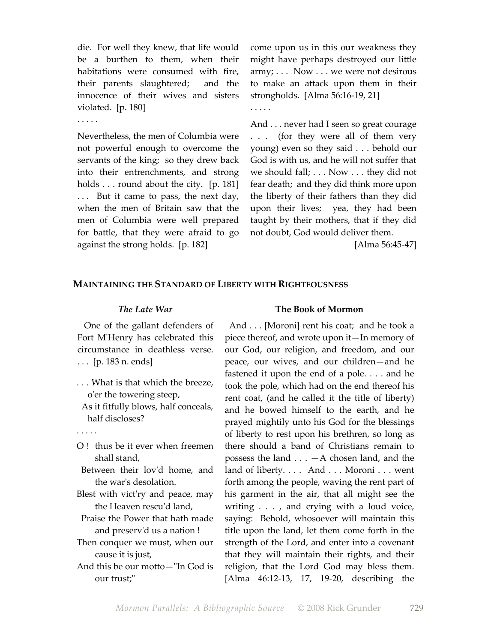die. For well they knew, that life would be a burthen to them, when their habitations were consumed with fire, their parents slaughtered; and the innocence of their wives and sisters violated. [p. 180]

. . . . .

Nevertheless, the men of Columbia were not powerful enough to overcome the servants of the king; so they drew back into their entrenchments, and strong holds . . . round about the city. [p. 181] . . . But it came to pass, the next day, when the men of Britain saw that the men of Columbia were well prepared for battle, that they were afraid to go against the strong holds. [p. 182]

come upon us in this our weakness they might have perhaps destroyed our little army; . . . Now . . . we were not desirous to make an attack upon them in their strongholds. [Alma 56:16-19, 21]

. . . . .

And . . . never had I seen so great courage . . . (for they were all of them very young) even so they said . . . behold our God is with us, and he will not suffer that we should fall; . . . Now . . . they did not fear death; and they did think more upon the liberty of their fathers than they did upon their lives; yea, they had been taught by their mothers, that if they did not doubt, God would deliver them.

[Alma 56:45-47]

#### **MAINTAINING THE STANDARD OF LIBERTY WITH RIGHTEOUSNESS**

#### *The Late War*

 One of the gallant defenders of Fort M'Henry has celebrated this circumstance in deathless verse. . . . [p. 183 n. ends]

- . . . What is that which the breeze, o'er the towering steep,
- As it fitfully blows, half conceals, half discloses?
- . . . . .
- O ! thus be it ever when freemen shall stand,
- Between their lov'd home, and the war's desolation.
- Blest with vict'ry and peace, may the Heaven rescu'd land,
- Praise the Power that hath made and preserv'd us a nation !
- Then conquer we must, when our cause it is just,
- And this be our motto—"In God is our trust;"

#### **The Book of Mormon**

And . . . [Moroni] rent his coat; and he took a piece thereof, and wrote upon it—In memory of our God, our religion, and freedom, and our peace, our wives, and our children—and he fastened it upon the end of a pole. . . . and he took the pole, which had on the end thereof his rent coat, (and he called it the title of liberty) and he bowed himself to the earth, and he prayed mightily unto his God for the blessings of liberty to rest upon his brethren, so long as there should a band of Christians remain to possess the land  $\ldots$  - A chosen land, and the land of liberty. . . . And . . . Moroni . . . went forth among the people, waving the rent part of his garment in the air, that all might see the writing . . . , and crying with a loud voice, saying: Behold, whosoever will maintain this title upon the land, let them come forth in the strength of the Lord, and enter into a covenant that they will maintain their rights, and their religion, that the Lord God may bless them. [Alma 46:12-13, 17, 19-20, describing the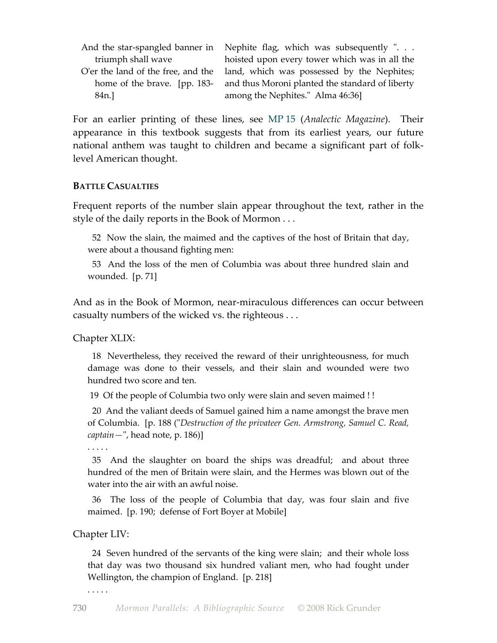|                    | And the star-spangled banner in Nephite flag, which was subsequently "        |
|--------------------|-------------------------------------------------------------------------------|
| triumph shall wave | hoisted upon every tower which was in all the                                 |
|                    | O'er the land of the free, and the land, which was possessed by the Nephites; |
|                    | home of the brave. [pp. 183- and thus Moroni planted the standard of liberty  |
| 84n.]              | among the Nephites." Alma 46:36]                                              |

For an earlier printing of these lines, see MP 15 (*Analectic Magazine*). Their appearance in this textbook suggests that from its earliest years, our future national anthem was taught to children and became a significant part of folklevel American thought.

#### **BATTLE CASUALTIES**

Frequent reports of the number slain appear throughout the text, rather in the style of the daily reports in the Book of Mormon . . .

 52 Now the slain, the maimed and the captives of the host of Britain that day, were about a thousand fighting men:

 53 And the loss of the men of Columbia was about three hundred slain and wounded. [p. 71]

And as in the Book of Mormon, near-miraculous differences can occur between casualty numbers of the wicked vs. the righteous . . .

Chapter XLIX:

 18 Nevertheless, they received the reward of their unrighteousness, for much damage was done to their vessels, and their slain and wounded were two hundred two score and ten.

19 Of the people of Columbia two only were slain and seven maimed ! !

 20 And the valiant deeds of Samuel gained him a name amongst the brave men of Columbia. [p. 188 ("*Destruction of the privateer Gen. Armstrong, Samuel C. Read, captain—*", head note, p. 186)]

. . . . .

 35 And the slaughter on board the ships was dreadful; and about three hundred of the men of Britain were slain, and the Hermes was blown out of the water into the air with an awful noise.

 36 The loss of the people of Columbia that day, was four slain and five maimed. [p. 190; defense of Fort Boyer at Mobile]

#### Chapter LIV:

 24 Seven hundred of the servants of the king were slain; and their whole loss that day was two thousand six hundred valiant men, who had fought under Wellington, the champion of England. [p. 218]

. . . . .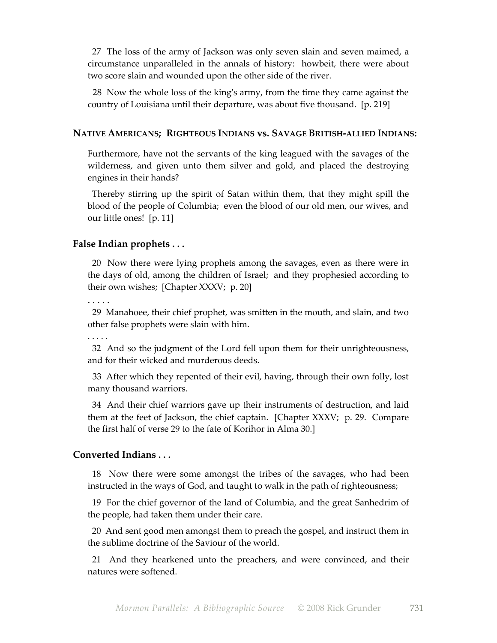27 The loss of the army of Jackson was only seven slain and seven maimed, a circumstance unparalleled in the annals of history: howbeit, there were about two score slain and wounded upon the other side of the river.

 28 Now the whole loss of the king's army, from the time they came against the country of Louisiana until their departure, was about five thousand. [p. 219]

#### **NATIVE AMERICANS; RIGHTEOUS INDIANS vs. SAVAGE BRITISH-ALLIED INDIANS:**

Furthermore, have not the servants of the king leagued with the savages of the wilderness, and given unto them silver and gold, and placed the destroying engines in their hands?

 Thereby stirring up the spirit of Satan within them, that they might spill the blood of the people of Columbia; even the blood of our old men, our wives, and our little ones! [p. 11]

### **False Indian prophets . . .**

 20 Now there were lying prophets among the savages, even as there were in the days of old, among the children of Israel; and they prophesied according to their own wishes; [Chapter XXXV; p. 20]

 $\ddot{\phantom{0}}$ 

 29 Manahoee, their chief prophet, was smitten in the mouth, and slain, and two other false prophets were slain with him.

. . . . .

 32 And so the judgment of the Lord fell upon them for their unrighteousness, and for their wicked and murderous deeds.

 33 After which they repented of their evil, having, through their own folly, lost many thousand warriors.

 34 And their chief warriors gave up their instruments of destruction, and laid them at the feet of Jackson, the chief captain. [Chapter XXXV; p. 29. Compare the first half of verse 29 to the fate of Korihor in Alma 30.]

# **Converted Indians . . .**

 18 Now there were some amongst the tribes of the savages, who had been instructed in the ways of God, and taught to walk in the path of righteousness;

 19 For the chief governor of the land of Columbia, and the great Sanhedrim of the people, had taken them under their care.

 20 And sent good men amongst them to preach the gospel, and instruct them in the sublime doctrine of the Saviour of the world.

 21 And they hearkened unto the preachers, and were convinced, and their natures were softened.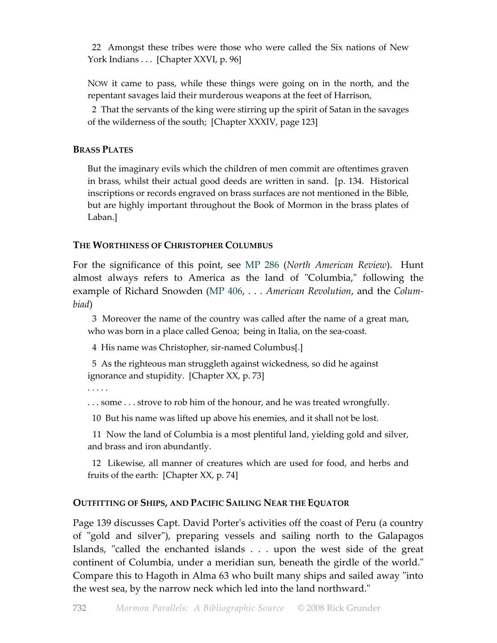22 Amongst these tribes were those who were called the Six nations of New York Indians . . . [Chapter XXVI, p. 96]

NOW it came to pass, while these things were going on in the north, and the repentant savages laid their murderous weapons at the feet of Harrison,

 2 That the servants of the king were stirring up the spirit of Satan in the savages of the wilderness of the south; [Chapter XXXIV, page 123]

# **BRASS PLATES**

But the imaginary evils which the children of men commit are oftentimes graven in brass, whilst their actual good deeds are written in sand. [p. 134. Historical inscriptions or records engraved on brass surfaces are not mentioned in the Bible, but are highly important throughout the Book of Mormon in the brass plates of Laban.]

# **THE WORTHINESS OF CHRISTOPHER COLUMBUS**

For the significance of this point, see MP 286 (*North American Review*). Hunt almost always refers to America as the land of "Columbia," following the example of Richard Snowden (MP 406, . . . *American Revolution*, and the *Columbiad*)

 3 Moreover the name of the country was called after the name of a great man, who was born in a place called Genoa; being in Italia, on the sea-coast.

4 His name was Christopher, sir-named Columbus[.]

 5 As the righteous man struggleth against wickedness, so did he against ignorance and stupidity. [Chapter XX, p. 73]

. . . . .

... some ... strove to rob him of the honour, and he was treated wrongfully.

10 But his name was lifted up above his enemies, and it shall not be lost.

 11 Now the land of Columbia is a most plentiful land, yielding gold and silver, and brass and iron abundantly.

 12 Likewise, all manner of creatures which are used for food, and herbs and fruits of the earth: [Chapter XX, p. 74]

## **OUTFITTING OF SHIPS, AND PACIFIC SAILING NEAR THE EQUATOR**

Page 139 discusses Capt. David Porter's activities off the coast of Peru (a country of "gold and silver"), preparing vessels and sailing north to the Galapagos Islands, "called the enchanted islands . . . upon the west side of the great continent of Columbia, under a meridian sun, beneath the girdle of the world." Compare this to Hagoth in Alma 63 who built many ships and sailed away "into the west sea, by the narrow neck which led into the land northward."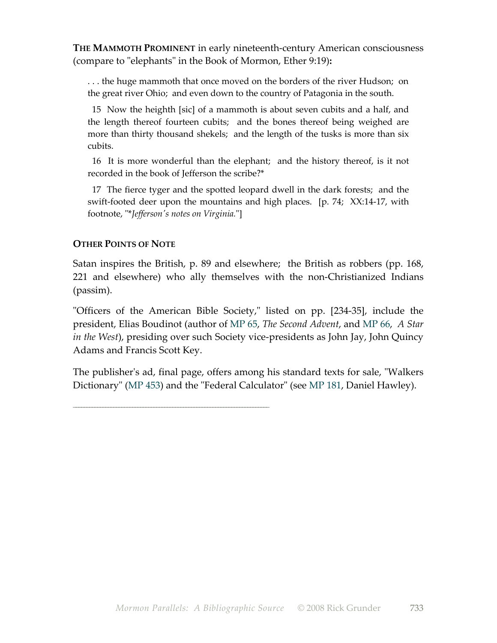**THE MAMMOTH PROMINENT** in early nineteenth-century American consciousness (compare to "elephants" in the Book of Mormon, Ether 9:19)**:**

. . . the huge mammoth that once moved on the borders of the river Hudson; on the great river Ohio; and even down to the country of Patagonia in the south.

 15 Now the heighth [sic] of a mammoth is about seven cubits and a half, and the length thereof fourteen cubits; and the bones thereof being weighed are more than thirty thousand shekels; and the length of the tusks is more than six cubits.

 16 It is more wonderful than the elephant; and the history thereof, is it not recorded in the book of Jefferson the scribe?\*

 17 The fierce tyger and the spotted leopard dwell in the dark forests; and the swift-footed deer upon the mountains and high places. [p. 74; XX:14-17, with footnote, "\**Jefferson's notes on Virginia.*"]

# **OTHER POINTS OF NOTE**

\_\_\_\_\_\_\_\_\_\_\_\_\_\_\_\_\_\_\_\_\_\_\_\_\_\_\_\_\_\_\_\_\_\_\_\_\_\_\_\_\_\_\_\_\_\_\_\_\_\_\_\_\_\_\_\_\_\_\_\_\_\_\_\_\_\_\_\_\_\_\_\_\_

Satan inspires the British, p. 89 and elsewhere; the British as robbers (pp. 168, 221 and elsewhere) who ally themselves with the non-Christianized Indians (passim).

"Officers of the American Bible Society," listed on pp. [234-35], include the president, Elias Boudinot (author of MP 65, *The Second Advent*, and MP 66, *A Star in the West*), presiding over such Society vice-presidents as John Jay, John Quincy Adams and Francis Scott Key.

The publisher's ad, final page, offers among his standard texts for sale, "Walkers Dictionary" (MP 453) and the "Federal Calculator" (see MP 181, Daniel Hawley).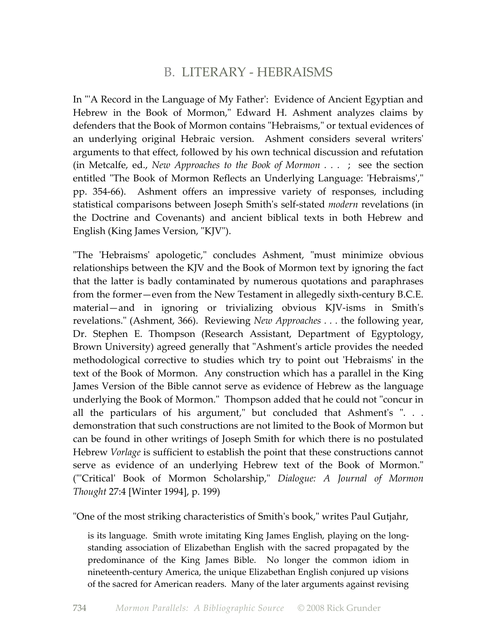# B. LITERARY - HEBRAISMS

In "'A Record in the Language of My Father': Evidence of Ancient Egyptian and Hebrew in the Book of Mormon," Edward H. Ashment analyzes claims by defenders that the Book of Mormon contains "Hebraisms," or textual evidences of an underlying original Hebraic version. Ashment considers several writers' arguments to that effect, followed by his own technical discussion and refutation (in Metcalfe, ed., *New Approaches to the Book of Mormon . . .* ; see the section entitled "The Book of Mormon Reflects an Underlying Language: 'Hebraisms'," pp. 354-66). Ashment offers an impressive variety of responses, including statistical comparisons between Joseph Smith's self-stated *modern* revelations (in the Doctrine and Covenants) and ancient biblical texts in both Hebrew and English (King James Version, "KJV").

"The 'Hebraisms' apologetic," concludes Ashment, "must minimize obvious relationships between the KJV and the Book of Mormon text by ignoring the fact that the latter is badly contaminated by numerous quotations and paraphrases from the former—even from the New Testament in allegedly sixth-century B.C.E. material—and in ignoring or trivializing obvious KJV-isms in Smith's revelations." (Ashment, 366). Reviewing *New Approaches . . .* the following year, Dr. Stephen E. Thompson (Research Assistant, Department of Egyptology, Brown University) agreed generally that "Ashment's article provides the needed methodological corrective to studies which try to point out 'Hebraisms' in the text of the Book of Mormon. Any construction which has a parallel in the King James Version of the Bible cannot serve as evidence of Hebrew as the language underlying the Book of Mormon." Thompson added that he could not "concur in all the particulars of his argument," but concluded that Ashment's ". . . demonstration that such constructions are not limited to the Book of Mormon but can be found in other writings of Joseph Smith for which there is no postulated Hebrew *Vorlage* is sufficient to establish the point that these constructions cannot serve as evidence of an underlying Hebrew text of the Book of Mormon." ("'Critical' Book of Mormon Scholarship," *Dialogue: A Journal of Mormon Thought* 27:4 [Winter 1994], p. 199)

"One of the most striking characteristics of Smith's book," writes Paul Gutjahr,

is its language. Smith wrote imitating King James English, playing on the longstanding association of Elizabethan English with the sacred propagated by the predominance of the King James Bible. No longer the common idiom in nineteenth-century America, the unique Elizabethan English conjured up visions of the sacred for American readers. Many of the later arguments against revising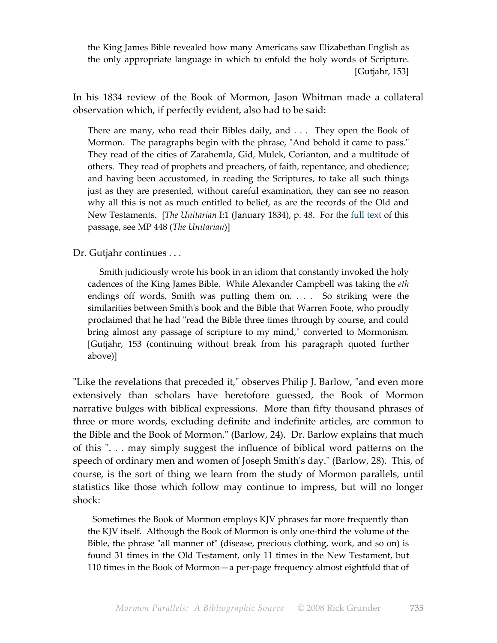the King James Bible revealed how many Americans saw Elizabethan English as the only appropriate language in which to enfold the holy words of Scripture. [Gutjahr, 153]

In his 1834 review of the Book of Mormon, Jason Whitman made a collateral observation which, if perfectly evident, also had to be said:

There are many, who read their Bibles daily, and . . . They open the Book of Mormon. The paragraphs begin with the phrase, "And behold it came to pass." They read of the cities of Zarahemla, Gid, Mulek, Corianton, and a multitude of others. They read of prophets and preachers, of faith, repentance, and obedience; and having been accustomed, in reading the Scriptures, to take all such things just as they are presented, without careful examination, they can see no reason why all this is not as much entitled to belief, as are the records of the Old and New Testaments. [*The Unitarian* I:1 (January 1834), p. 48. For the full text of this passage, see MP 448 (*The Unitarian*)]

Dr. Gutjahr continues . . .

 Smith judiciously wrote his book in an idiom that constantly invoked the holy cadences of the King James Bible. While Alexander Campbell was taking the *eth* endings off words, Smith was putting them on. . . . So striking were the similarities between Smith's book and the Bible that Warren Foote, who proudly proclaimed that he had "read the Bible three times through by course, and could bring almost any passage of scripture to my mind," converted to Mormonism. [Gutjahr, 153 (continuing without break from his paragraph quoted further above)]

"Like the revelations that preceded it," observes Philip J. Barlow, "and even more extensively than scholars have heretofore guessed, the Book of Mormon narrative bulges with biblical expressions. More than fifty thousand phrases of three or more words, excluding definite and indefinite articles, are common to the Bible and the Book of Mormon." (Barlow, 24). Dr. Barlow explains that much of this ". . . may simply suggest the influence of biblical word patterns on the speech of ordinary men and women of Joseph Smith's day." (Barlow, 28). This, of course, is the sort of thing we learn from the study of Mormon parallels, until statistics like those which follow may continue to impress, but will no longer shock:

 Sometimes the Book of Mormon employs KJV phrases far more frequently than the KJV itself. Although the Book of Mormon is only one-third the volume of the Bible, the phrase "all manner of" (disease, precious clothing, work, and so on) is found 31 times in the Old Testament, only 11 times in the New Testament, but 110 times in the Book of Mormon—a per-page frequency almost eightfold that of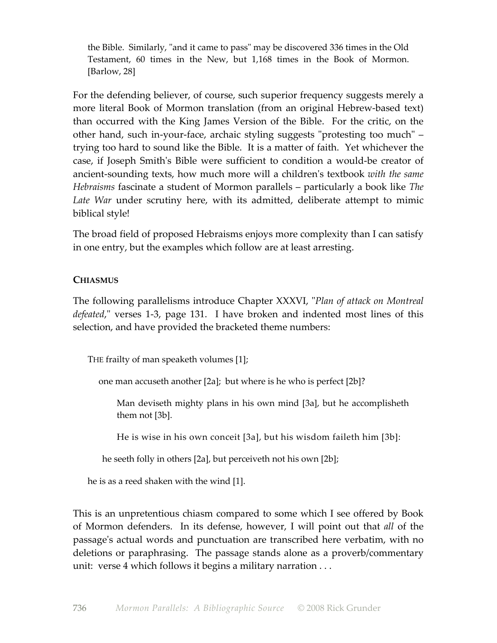the Bible. Similarly, "and it came to pass" may be discovered 336 times in the Old Testament, 60 times in the New, but 1,168 times in the Book of Mormon. [Barlow, 28]

For the defending believer, of course, such superior frequency suggests merely a more literal Book of Mormon translation (from an original Hebrew-based text) than occurred with the King James Version of the Bible. For the critic, on the other hand, such in-your-face, archaic styling suggests "protesting too much" – trying too hard to sound like the Bible. It is a matter of faith. Yet whichever the case, if Joseph Smith's Bible were sufficient to condition a would-be creator of ancient-sounding texts, how much more will a children's textbook *with the same Hebraisms* fascinate a student of Mormon parallels – particularly a book like *The Late War* under scrutiny here, with its admitted, deliberate attempt to mimic biblical style!

The broad field of proposed Hebraisms enjoys more complexity than I can satisfy in one entry, but the examples which follow are at least arresting.

# **CHIASMUS**

The following parallelisms introduce Chapter XXXVI, "*Plan of attack on Montreal defeated*," verses 1-3, page 131. I have broken and indented most lines of this selection, and have provided the bracketed theme numbers:

THE frailty of man speaketh volumes [1];

one man accuseth another [2a]; but where is he who is perfect [2b]?

Man deviseth mighty plans in his own mind [3a], but he accomplisheth them not [3b].

He is wise in his own conceit [3a], but his wisdom faileth him [3b]:

he seeth folly in others [2a], but perceiveth not his own [2b];

he is as a reed shaken with the wind [1].

This is an unpretentious chiasm compared to some which I see offered by Book of Mormon defenders. In its defense, however, I will point out that *all* of the passage's actual words and punctuation are transcribed here verbatim, with no deletions or paraphrasing. The passage stands alone as a proverb/commentary unit: verse 4 which follows it begins a military narration . . .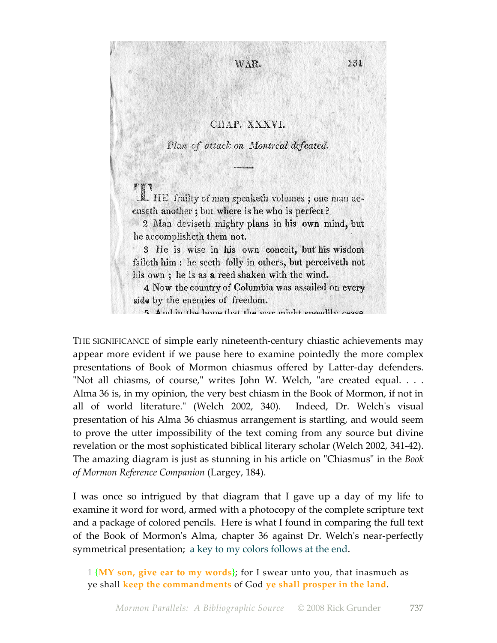# CHAP. XXXVI.

WAR.

131

Plan of attack on Montreal defeated.

IL HE frailty of man speaketh volumes; one man aceuseth another; but where is he who is perfect? 2 Man deviseth mighty plans in his own mind, but he accomplisheth them not.

3 He is wise in his own conceit, but his wisdom faileth him : he seeth folly in others, but perceiveth not his own; he is as a reed shaken with the wind.

4 Now the country of Columbia was assailed on every side by the enemies of freedom.

5 And in the hone that the war might encedily cease

THE SIGNIFICANCE of simple early nineteenth-century chiastic achievements may appear more evident if we pause here to examine pointedly the more complex presentations of Book of Mormon chiasmus offered by Latter-day defenders. "Not all chiasms, of course," writes John W. Welch, "are created equal. . . . Alma 36 is, in my opinion, the very best chiasm in the Book of Mormon, if not in all of world literature." (Welch 2002, 340). Indeed, Dr. Welch's visual presentation of his Alma 36 chiasmus arrangement is startling, and would seem to prove the utter impossibility of the text coming from any source but divine revelation or the most sophisticated biblical literary scholar (Welch 2002, 341-42). The amazing diagram is just as stunning in his article on "Chiasmus" in the *Book of Mormon Reference Companion* (Largey, 184).

I was once so intrigued by that diagram that I gave up a day of my life to examine it word for word, armed with a photocopy of the complete scripture text and a package of colored pencils. Here is what I found in comparing the full text of the Book of Mormon's Alma, chapter 36 against Dr. Welch's near-perfectly symmetrical presentation; a key to my colors follows at the end.

1 **{MY son, give ear to my words}**; for I swear unto you, that inasmuch as ye shall **keep the commandments** of God **ye shall prosper in the land**.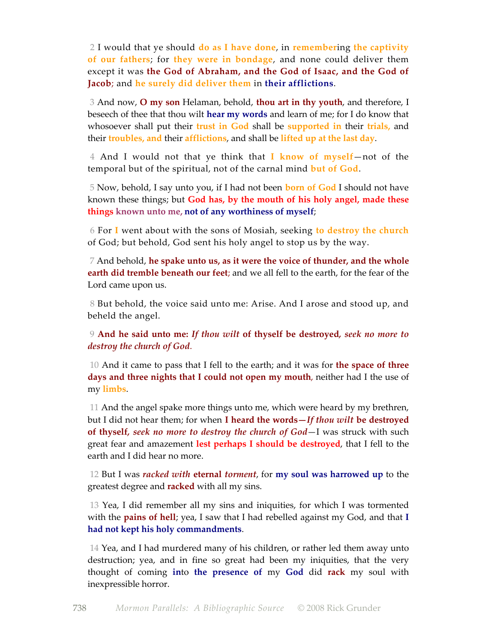2 I would that ye should **do as I have done**, in **remember**ing **the captivity of our fathers**; for **they were in bondage**, and none could deliver them except it was **the God of Abraham, and the God of Isaac, and the God of Jacob**; and **he surely did deliver them** in **their afflictions**.

 3 And now, **O my son** Helaman, behold, **thou art in thy youth**, and therefore, I beseech of thee that thou wilt **hear my words** and learn of me; for I do know that whosoever shall put their **trust in God** shall be **supported in** their **trials,** and their **troubles, and** their **afflictions**, and shall be **lifted up at the last day**.

 4 And I would not that ye think that **I know of myself**—not of the temporal but of the spiritual, not of the carnal mind **but of God**.

 5 Now, behold, I say unto you, if I had not been **born of God** I should not have known these things; but **God has, by the mouth of his holy angel, made these things known unto me, not of any worthiness of myself**;

 6 For **I** went about with the sons of Mosiah, seeking **to destroy the church** of God; but behold, God sent his holy angel to stop us by the way.

 7 And behold, **he spake unto us, as it were the voice of thunder, and the whole earth did tremble beneath our feet**; and we all fell to the earth, for the fear of the Lord came upon us.

 8 But behold, the voice said unto me: Arise. And I arose and stood up, and beheld the angel.

 9 **And he said unto me:** *If thou wilt* **of thyself be destroyed***, seek no more to destroy the church of God*.

 10 And it came to pass that I fell to the earth; and it was for **the space of three days and three nights that I could not open my mouth**, neither had I the use of my **limbs**.

 11 And the angel spake more things unto me, which were heard by my brethren, but I did not hear them; for when **I heard the words—***If thou wilt* **be destroyed of thyself***, seek no more to destroy the church of God*—I was struck with such great fear and amazement **lest perhaps I should be destroyed**, that I fell to the earth and I did hear no more.

 12 But I was *racked with* **eternal** *torment*, for **my soul was harrowed up** to the greatest degree and **racked** with all my sins.

 13 Yea, I did remember all my sins and iniquities, for which I was tormented with the **pains of hell**; yea, I saw that I had rebelled against my God, and that **I had not kept his holy commandments**.

 14 Yea, and I had murdered many of his children, or rather led them away unto destruction; yea, and in fine so great had been my iniquities, that the very thought of coming **in**to **the presence of** my **God** did **rack** my soul with inexpressible horror.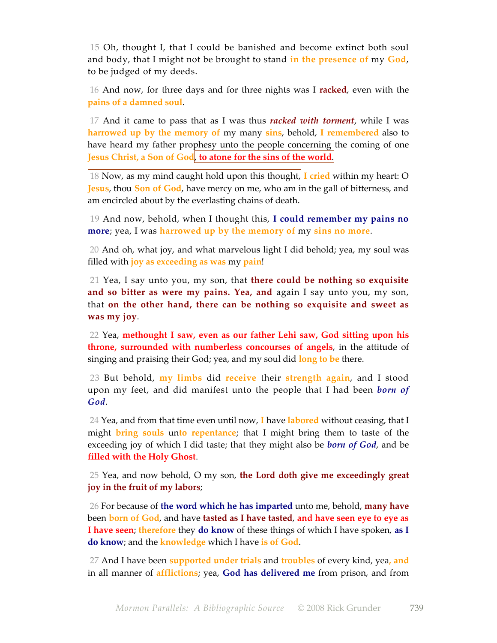15 Oh, thought I, that I could be banished and become extinct both soul and body, that I might not be brought to stand **in the presence of** my **God**, to be judged of my deeds.

 16 And now, for three days and for three nights was I **racked**, even with the **pains of a damned soul**.

 17 And it came to pass that as I was thus *racked with torment*, while I was **harrowed up by the memory of** my many **sins**, behold, **I remembered** also to have heard my father prophesy unto the people concerning the coming of one **Jesus Christ, a Son of God**, **to atone for the sins of the world**.

18 Now, as my mind caught hold upon this thought, **I cried** within my heart: O **Jesus**, thou **Son of God**, have mercy on me, who am in the gall of bitterness, and am encircled about by the everlasting chains of death.

 19 And now, behold, when I thought this, **I could remember my pains no more**; yea, I was **harrowed up by the memory of** my **sins no more**.

 20 And oh, what joy, and what marvelous light I did behold; yea, my soul was filled with **joy as exceeding as was** my **pain**!

 21 Yea, I say unto you, my son, that **there could be nothing so exquisite and so bitter as were my pains. Yea, and** again I say unto you, my son, that **on the other hand, there can be nothing so exquisite and sweet as was my joy**.

 22 Yea, **methought I saw, even as our father Lehi saw, God sitting upon his throne, surrounded with numberless concourses of angels**, in the attitude of singing and praising their God; yea, and my soul did **long to be** there.

 23 But behold, **my limbs** did **receive** their **strength again**, and I stood upon my feet, and did manifest unto the people that I had been *born of God*.

 24 Yea, and from that time even until now, **I** have **labored** without ceasing, that I might **bring souls** un**to repentance**; that I might bring them to taste of the exceeding joy of which I did taste; that they might also be *born of God*, and be **filled with the Holy Ghost**.

 25 Yea, and now behold, O my son, **the Lord doth give me exceedingly great joy in the fruit of my labors**;

 26 For because of **the word which he has imparted** unto me, behold, **many have** been **born of God**, and have **tasted as I have tasted**, **and have seen eye to eye as I have seen**; **therefore** they **do know** of these things of which I have spoken, **as I do know**; and the **knowledge** which I have **is of God**.

 27 And I have been **supported under trials** and **troubles** of every kind, yea**, and** in all manner of **afflictions**; yea, **God has delivered me** from prison, and from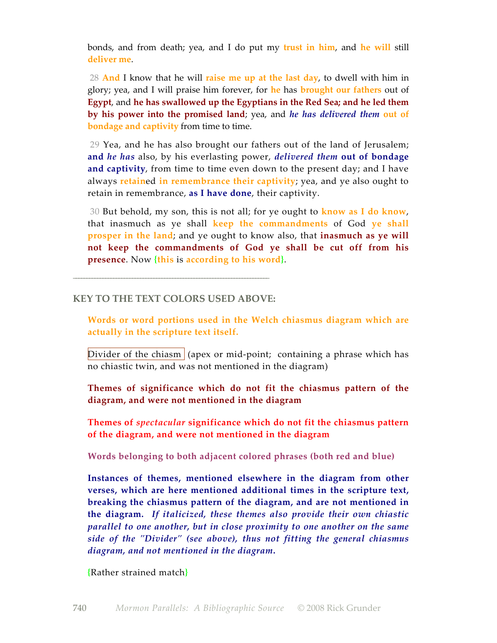bonds, and from death; yea, and I do put my **trust in him**, and **he will** still **deliver me**.

 28 **And** I know that he will **raise me up at the last day**, to dwell with him in glory; yea, and I will praise him forever, for **he** has **brought our fathers** out of **Egypt**, and **he has swallowed up the Egyptians in the Red Sea; and he led them by his power into the promised land**; yea, and *he has delivered them* **out of bondage and captivity** from time to time.

 29 Yea, and he has also brought our fathers out of the land of Jerusalem; **and** *he has* also, by his everlasting power, *delivered them* **out of bondage and captivity**, from time to time even down to the present day; and I have always **retain**ed **in remembrance their captivity**; yea, and ye also ought to retain in remembrance, **as I have done**, their captivity.

 30 But behold, my son, this is not all; for ye ought to **know as I do know**, that inasmuch as ye shall **keep the commandments** of God **ye shall prosper in the land**; and ye ought to know also, that **inasmuch as ye will not keep the commandments of God ye shall be cut off from his presence**. Now **{this** is **according to his word}**.

#### **KEY TO THE TEXT COLORS USED ABOVE:**

\_\_\_\_\_\_\_\_\_\_\_\_\_\_\_\_\_\_\_\_\_\_\_\_\_\_\_\_\_\_\_\_\_\_\_\_\_\_\_\_\_\_\_\_\_\_\_\_\_\_\_\_\_\_\_\_\_\_\_\_\_\_\_\_\_\_\_\_\_\_\_\_\_

**Words or word portions used in the Welch chiasmus diagram which are actually in the scripture text itself.**

Divider of the chiasm  $\alpha$  (apex or mid-point; containing a phrase which has no chiastic twin, and was not mentioned in the diagram)

**Themes of significance which do not fit the chiasmus pattern of the diagram, and were not mentioned in the diagram**

**Themes of** *spectacular* **significance which do not fit the chiasmus pattern of the diagram, and were not mentioned in the diagram**

**Words belonging to both adjacent colored phrases (both red and blue)**

**Instances of themes, mentioned elsewhere in the diagram from other verses, which are here mentioned additional times in the scripture text, breaking the chiasmus pattern of the diagram, and are not mentioned in the diagram.** *If italicized, these themes also provide their own chiastic parallel to one another, but in close proximity to one another on the same side of the "Divider" (see above), thus not fitting the general chiasmus diagram, and not mentioned in the diagram***.**

**{**Rather strained match**}**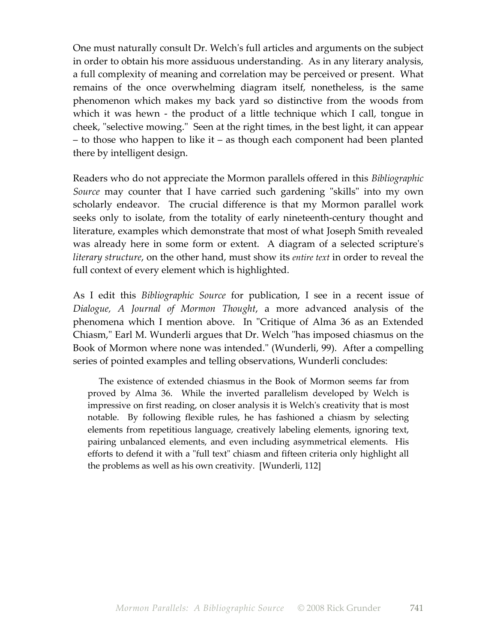One must naturally consult Dr. Welch's full articles and arguments on the subject in order to obtain his more assiduous understanding. As in any literary analysis, a full complexity of meaning and correlation may be perceived or present. What remains of the once overwhelming diagram itself, nonetheless, is the same phenomenon which makes my back yard so distinctive from the woods from which it was hewn - the product of a little technique which I call, tongue in cheek, "selective mowing." Seen at the right times, in the best light, it can appear – to those who happen to like it – as though each component had been planted there by intelligent design.

Readers who do not appreciate the Mormon parallels offered in this *Bibliographic Source* may counter that I have carried such gardening "skills" into my own scholarly endeavor. The crucial difference is that my Mormon parallel work seeks only to isolate, from the totality of early nineteenth-century thought and literature, examples which demonstrate that most of what Joseph Smith revealed was already here in some form or extent. A diagram of a selected scripture's *literary structure*, on the other hand, must show its *entire text* in order to reveal the full context of every element which is highlighted.

As I edit this *Bibliographic Source* for publication, I see in a recent issue of *Dialogue, A Journal of Mormon Thought*, a more advanced analysis of the phenomena which I mention above. In "Critique of Alma 36 as an Extended Chiasm," Earl M. Wunderli argues that Dr. Welch "has imposed chiasmus on the Book of Mormon where none was intended." (Wunderli, 99). After a compelling series of pointed examples and telling observations, Wunderli concludes:

 The existence of extended chiasmus in the Book of Mormon seems far from proved by Alma 36. While the inverted parallelism developed by Welch is impressive on first reading, on closer analysis it is Welch's creativity that is most notable. By following flexible rules, he has fashioned a chiasm by selecting elements from repetitious language, creatively labeling elements, ignoring text, pairing unbalanced elements, and even including asymmetrical elements. His efforts to defend it with a "full text" chiasm and fifteen criteria only highlight all the problems as well as his own creativity. [Wunderli, 112]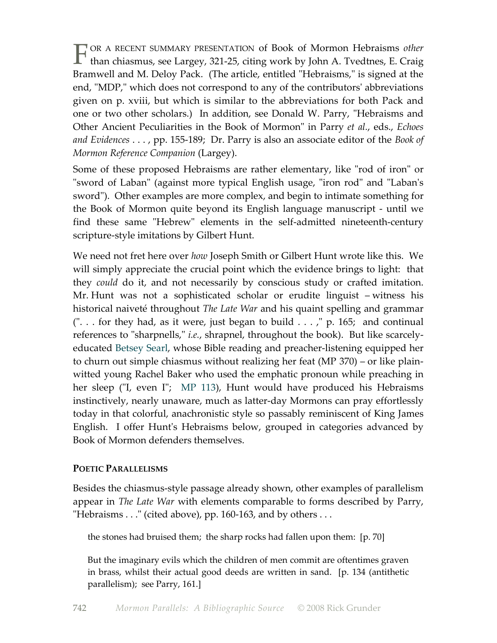OR A RECENT SUMMARY PRESENTATION of Book of Mormon Hebraisms *other* T OR A RECENT SUMMARY PRESENTATION of Book of Mormon Hebraisms *other*<br>than chiasmus, see Largey, 321-25, citing work by John A. Tvedtnes, E. Craig Bramwell and M. Deloy Pack. (The article, entitled "Hebraisms," is signed at the end, "MDP," which does not correspond to any of the contributors' abbreviations given on p. xviii, but which is similar to the abbreviations for both Pack and one or two other scholars.) In addition, see Donald W. Parry, "Hebraisms and Other Ancient Peculiarities in the Book of Mormon" in Parry *et al.*, eds., *Echoes and Evidences* . . . , pp. 155-189; Dr. Parry is also an associate editor of the *Book of Mormon Reference Companion* (Largey).

Some of these proposed Hebraisms are rather elementary, like "rod of iron" or "sword of Laban" (against more typical English usage, "iron rod" and "Laban's sword"). Other examples are more complex, and begin to intimate something for the Book of Mormon quite beyond its English language manuscript - until we find these same "Hebrew" elements in the self-admitted nineteenth-century scripture-style imitations by Gilbert Hunt.

We need not fret here over *how* Joseph Smith or Gilbert Hunt wrote like this. We will simply appreciate the crucial point which the evidence brings to light: that they *could* do it, and not necessarily by conscious study or crafted imitation. Mr. Hunt was not a sophisticated scholar or erudite linguist – witness his historical naiveté throughout *The Late War* and his quaint spelling and grammar  $($ "... for they had, as it were, just began to build ...," p. 165; and continual references to "sharpnells," *i.e.*, shrapnel, throughout the book). But like scarcelyeducated Betsey Searl, whose Bible reading and preacher-listening equipped her to churn out simple chiasmus without realizing her feat (MP 370) – or like plainwitted young Rachel Baker who used the emphatic pronoun while preaching in her sleep ("I, even I"; MP 113), Hunt would have produced his Hebraisms instinctively, nearly unaware, much as latter-day Mormons can pray effortlessly today in that colorful, anachronistic style so passably reminiscent of King James English. I offer Hunt's Hebraisms below, grouped in categories advanced by Book of Mormon defenders themselves.

# **POETIC PARALLELISMS**

Besides the chiasmus-style passage already shown, other examples of parallelism appear in *The Late War* with elements comparable to forms described by Parry, "Hebraisms . . ." (cited above), pp. 160-163, and by others . . .

the stones had bruised them; the sharp rocks had fallen upon them: [p. 70]

But the imaginary evils which the children of men commit are oftentimes graven in brass, whilst their actual good deeds are written in sand. [p. 134 (antithetic parallelism); see Parry, 161.]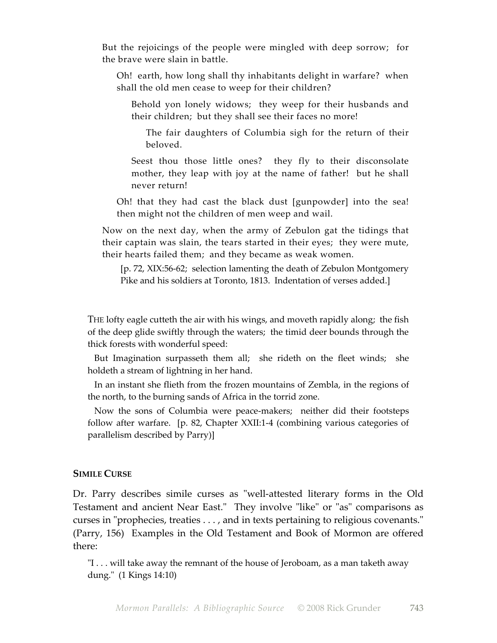But the rejoicings of the people were mingled with deep sorrow; for the brave were slain in battle.

Oh! earth, how long shall thy inhabitants delight in warfare? when shall the old men cease to weep for their children?

Behold yon lonely widows; they weep for their husbands and their children; but they shall see their faces no more!

The fair daughters of Columbia sigh for the return of their beloved.

Seest thou those little ones? they fly to their disconsolate mother, they leap with joy at the name of father! but he shall never return!

Oh! that they had cast the black dust [gunpowder] into the sea! then might not the children of men weep and wail.

Now on the next day, when the army of Zebulon gat the tidings that their captain was slain, the tears started in their eyes; they were mute, their hearts failed them; and they became as weak women.

[p. 72, XIX:56-62; selection lamenting the death of Zebulon Montgomery Pike and his soldiers at Toronto, 1813. Indentation of verses added.]

THE lofty eagle cutteth the air with his wings, and moveth rapidly along; the fish of the deep glide swiftly through the waters; the timid deer bounds through the thick forests with wonderful speed:

 But Imagination surpasseth them all; she rideth on the fleet winds; she holdeth a stream of lightning in her hand.

 In an instant she flieth from the frozen mountains of Zembla, in the regions of the north, to the burning sands of Africa in the torrid zone.

 Now the sons of Columbia were peace-makers; neither did their footsteps follow after warfare. [p. 82, Chapter XXII:1-4 (combining various categories of parallelism described by Parry)]

#### **SIMILE CURSE**

Dr. Parry describes simile curses as "well-attested literary forms in the Old Testament and ancient Near East." They involve "like" or "as" comparisons as curses in "prophecies, treaties . . . , and in texts pertaining to religious covenants." (Parry, 156) Examples in the Old Testament and Book of Mormon are offered there:

"I . . . will take away the remnant of the house of Jeroboam, as a man taketh away dung." (1 Kings 14:10)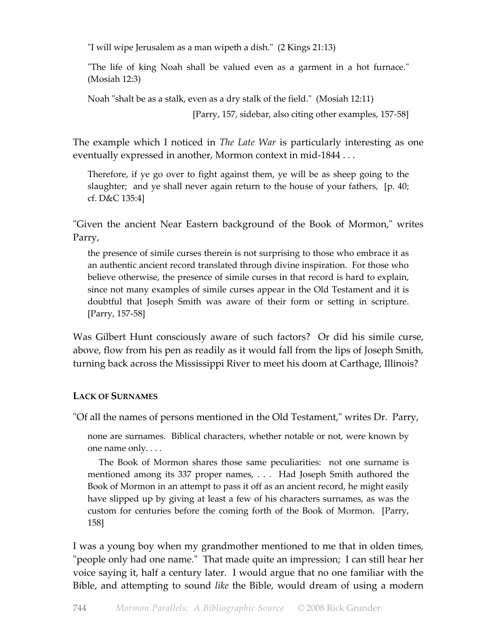"I will wipe Jerusalem as a man wipeth a dish." (2 Kings 21:13)

"The life of king Noah shall be valued even as a garment in a hot furnace." (Mosiah 12:3)

Noah "shalt be as a stalk, even as a dry stalk of the field." (Mosiah 12:11)

[Parry, 157, sidebar, also citing other examples, 157-58]

The example which I noticed in *The Late War* is particularly interesting as one eventually expressed in another, Mormon context in mid-1844 . . .

Therefore, if ye go over to fight against them, ye will be as sheep going to the slaughter; and ye shall never again return to the house of your fathers, [p. 40; cf. D&C 135:4]

"Given the ancient Near Eastern background of the Book of Mormon," writes Parry,

the presence of simile curses therein is not surprising to those who embrace it as an authentic ancient record translated through divine inspiration. For those who believe otherwise, the presence of simile curses in that record is hard to explain, since not many examples of simile curses appear in the Old Testament and it is doubtful that Joseph Smith was aware of their form or setting in scripture. [Parry, 157-58]

Was Gilbert Hunt consciously aware of such factors? Or did his simile curse, above, flow from his pen as readily as it would fall from the lips of Joseph Smith, turning back across the Mississippi River to meet his doom at Carthage, Illinois?

# **LACK OF SURNAMES**

"Of all the names of persons mentioned in the Old Testament," writes Dr. Parry,

none are surnames. Biblical characters, whether notable or not, were known by one name only. . . .

 The Book of Mormon shares those same peculiarities: not one surname is mentioned among its 337 proper names, . . . Had Joseph Smith authored the Book of Mormon in an attempt to pass it off as an ancient record, he might easily have slipped up by giving at least a few of his characters surnames, as was the custom for centuries before the coming forth of the Book of Mormon. [Parry, 158]

I was a young boy when my grandmother mentioned to me that in olden times, "people only had one name." That made quite an impression; I can still hear her voice saying it, half a century later. I would argue that no one familiar with the Bible, and attempting to sound *like* the Bible, would dream of using a modern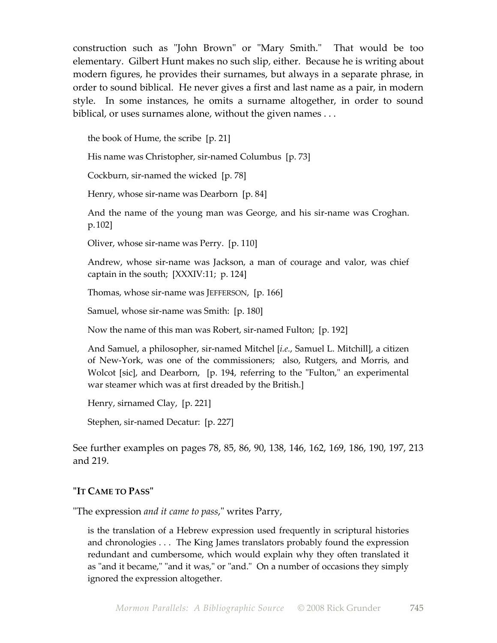construction such as "John Brown" or "Mary Smith." That would be too elementary. Gilbert Hunt makes no such slip, either. Because he is writing about modern figures, he provides their surnames, but always in a separate phrase, in order to sound biblical. He never gives a first and last name as a pair, in modern style. In some instances, he omits a surname altogether, in order to sound biblical, or uses surnames alone, without the given names . . .

the book of Hume, the scribe [p. 21]

His name was Christopher, sir-named Columbus [p. 73]

Cockburn, sir-named the wicked [p. 78]

Henry, whose sir-name was Dearborn [p. 84]

And the name of the young man was George, and his sir-name was Croghan. p.102]

Oliver, whose sir-name was Perry. [p. 110]

Andrew, whose sir-name was Jackson, a man of courage and valor, was chief captain in the south; [XXXIV:11; p. 124]

Thomas, whose sir-name was JEFFERSON, [p. 166]

Samuel, whose sir-name was Smith: [p. 180]

Now the name of this man was Robert, sir-named Fulton; [p. 192]

And Samuel, a philosopher, sir-named Mitchel [*i.e.*, Samuel L. Mitchill], a citizen of New-York, was one of the commissioners; also, Rutgers, and Morris, and Wolcot [sic], and Dearborn, [p. 194, referring to the "Fulton," an experimental war steamer which was at first dreaded by the British.]

Henry, sirnamed Clay, [p. 221]

Stephen, sir-named Decatur: [p. 227]

See further examples on pages 78, 85, 86, 90, 138, 146, 162, 169, 186, 190, 197, 213 and 219.

# **"IT CAME TO PASS"**

"The expression *and it came to pass*," writes Parry,

is the translation of a Hebrew expression used frequently in scriptural histories and chronologies . . . The King James translators probably found the expression redundant and cumbersome, which would explain why they often translated it as "and it became," "and it was," or "and." On a number of occasions they simply ignored the expression altogether.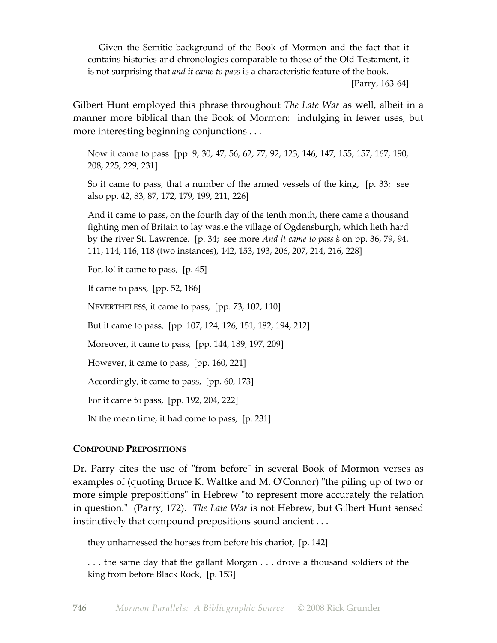Given the Semitic background of the Book of Mormon and the fact that it contains histories and chronologies comparable to those of the Old Testament, it is not surprising that *and it came to pass* is a characteristic feature of the book.

[Parry, 163-64]

Gilbert Hunt employed this phrase throughout *The Late War* as well, albeit in a manner more biblical than the Book of Mormon: indulging in fewer uses, but more interesting beginning conjunctions . . .

Now it came to pass [pp. 9, 30, 47, 56, 62, 77, 92, 123, 146, 147, 155, 157, 167, 190, 208, 225, 229, 231]

So it came to pass, that a number of the armed vessels of the king, [p. 33; see also pp. 42, 83, 87, 172, 179, 199, 211, 226]

And it came to pass, on the fourth day of the tenth month, there came a thousand fighting men of Britain to lay waste the village of Ogdensburgh, which lieth hard by the river St. Lawrence. [p. 34; see more *And it came to pass* ´s on pp. 36, 79, 94, 111, 114, 116, 118 (two instances), 142, 153, 193, 206, 207, 214, 216, 228]

For, lo! it came to pass, [p. 45]

It came to pass, [pp. 52, 186]

NEVERTHELESS, it came to pass, [pp. 73, 102, 110]

But it came to pass, [pp. 107, 124, 126, 151, 182, 194, 212]

Moreover, it came to pass, [pp. 144, 189, 197, 209]

However, it came to pass, [pp. 160, 221]

Accordingly, it came to pass, [pp. 60, 173]

For it came to pass, [pp. 192, 204, 222]

IN the mean time, it had come to pass, [p. 231]

# **COMPOUND PREPOSITIONS**

Dr. Parry cites the use of "from before" in several Book of Mormon verses as examples of (quoting Bruce K. Waltke and M. O'Connor) "the piling up of two or more simple prepositions" in Hebrew "to represent more accurately the relation in question." (Parry, 172). *The Late War* is not Hebrew, but Gilbert Hunt sensed instinctively that compound prepositions sound ancient . . .

they unharnessed the horses from before his chariot, [p. 142]

. . . the same day that the gallant Morgan . . . drove a thousand soldiers of the king from before Black Rock, [p. 153]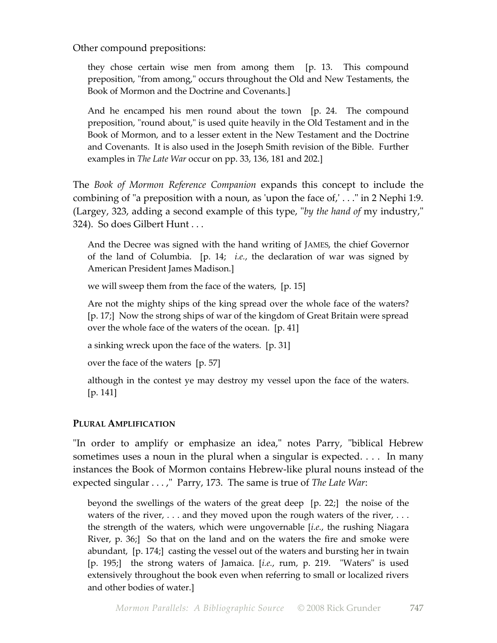Other compound prepositions:

they chose certain wise men from among them [p. 13. This compound preposition, "from among," occurs throughout the Old and New Testaments, the Book of Mormon and the Doctrine and Covenants.]

And he encamped his men round about the town [p. 24. The compound preposition, "round about," is used quite heavily in the Old Testament and in the Book of Mormon, and to a lesser extent in the New Testament and the Doctrine and Covenants. It is also used in the Joseph Smith revision of the Bible. Further examples in *The Late War* occur on pp. 33, 136, 181 and 202.]

The *Book of Mormon Reference Companion* expands this concept to include the combining of "a preposition with a noun, as 'upon the face of,' . . ." in 2 Nephi 1:9. (Largey, 323, adding a second example of this type, "*by the hand of* my industry," 324). So does Gilbert Hunt . . .

And the Decree was signed with the hand writing of JAMES, the chief Governor of the land of Columbia. [p. 14; *i.e.*, the declaration of war was signed by American President James Madison.]

we will sweep them from the face of the waters, [p. 15]

Are not the mighty ships of the king spread over the whole face of the waters? [p. 17;] Now the strong ships of war of the kingdom of Great Britain were spread over the whole face of the waters of the ocean. [p. 41]

a sinking wreck upon the face of the waters. [p. 31]

over the face of the waters [p. 57]

although in the contest ye may destroy my vessel upon the face of the waters. [p. 141]

# **PLURAL AMPLIFICATION**

"In order to amplify or emphasize an idea," notes Parry, "biblical Hebrew sometimes uses a noun in the plural when a singular is expected. . . . In many instances the Book of Mormon contains Hebrew-like plural nouns instead of the expected singular . . . ," Parry, 173. The same is true of *The Late War*:

beyond the swellings of the waters of the great deep [p. 22;] the noise of the waters of the river,  $\dots$  and they moved upon the rough waters of the river,  $\dots$ the strength of the waters, which were ungovernable [*i.e.*, the rushing Niagara River, p. 36;] So that on the land and on the waters the fire and smoke were abundant, [p. 174;] casting the vessel out of the waters and bursting her in twain [p. 195;] the strong waters of Jamaica. [*i.e.*, rum, p. 219. "Waters" is used extensively throughout the book even when referring to small or localized rivers and other bodies of water.]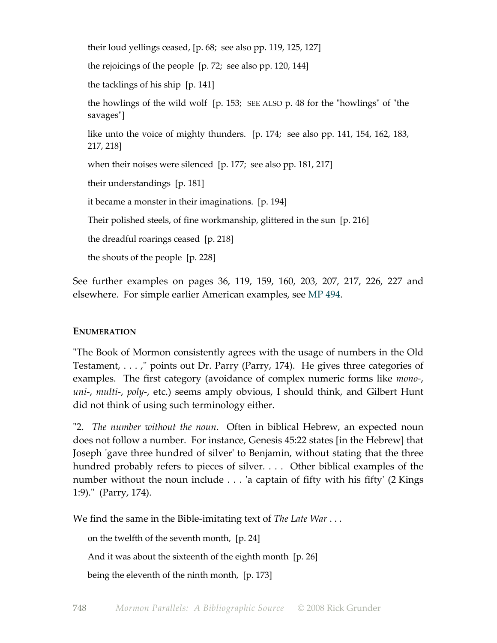their loud yellings ceased, [p. 68; see also pp. 119, 125, 127] the rejoicings of the people [p. 72; see also pp. 120, 144] the tacklings of his ship [p. 141] the howlings of the wild wolf [p. 153; SEE ALSO p. 48 for the "howlings" of "the savages"] like unto the voice of mighty thunders. [p. 174; see also pp. 141, 154, 162, 183, 217, 218] when their noises were silenced [p. 177; see also pp. 181, 217] their understandings [p. 181] it became a monster in their imaginations. [p. 194] Their polished steels, of fine workmanship, glittered in the sun [p. 216] the dreadful roarings ceased [p. 218] the shouts of the people [p. 228]

See further examples on pages 36, 119, 159, 160, 203, 207, 217, 226, 227 and elsewhere. For simple earlier American examples, see MP 494.

# **ENUMERATION**

"The Book of Mormon consistently agrees with the usage of numbers in the Old Testament, . . . ," points out Dr. Parry (Parry, 174). He gives three categories of examples. The first category (avoidance of complex numeric forms like *mono-*, *uni-*, *multi-*, *poly-*, etc.) seems amply obvious, I should think, and Gilbert Hunt did not think of using such terminology either.

"2. *The number without the noun*. Often in biblical Hebrew, an expected noun does not follow a number. For instance, Genesis 45:22 states [in the Hebrew] that Joseph 'gave three hundred of silver' to Benjamin, without stating that the three hundred probably refers to pieces of silver. . . . Other biblical examples of the number without the noun include . . . 'a captain of fifty with his fifty' (2 Kings 1:9)." (Parry, 174).

We find the same in the Bible-imitating text of *The Late War* ...

on the twelfth of the seventh month, [p. 24]

And it was about the sixteenth of the eighth month [p. 26]

being the eleventh of the ninth month, [p. 173]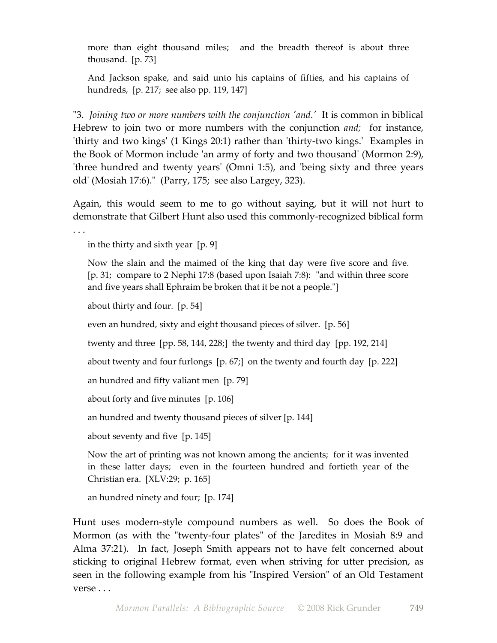more than eight thousand miles; and the breadth thereof is about three thousand. [p. 73]

And Jackson spake, and said unto his captains of fifties, and his captains of hundreds, [p. 217; see also pp. 119, 147]

"3. *Joining two or more numbers with the conjunction 'and.'* It is common in biblical Hebrew to join two or more numbers with the conjunction *and;* for instance, 'thirty and two kings' (1 Kings 20:1) rather than 'thirty-two kings.' Examples in the Book of Mormon include 'an army of forty and two thousand' (Mormon 2:9), 'three hundred and twenty years' (Omni 1:5), and 'being sixty and three years old' (Mosiah 17:6)." (Parry, 175; see also Largey, 323).

Again, this would seem to me to go without saying, but it will not hurt to demonstrate that Gilbert Hunt also used this commonly-recognized biblical form

. . .

in the thirty and sixth year [p. 9]

Now the slain and the maimed of the king that day were five score and five. [p. 31; compare to 2 Nephi 17:8 (based upon Isaiah 7:8): "and within three score and five years shall Ephraim be broken that it be not a people."]

about thirty and four. [p. 54]

even an hundred, sixty and eight thousand pieces of silver. [p. 56]

twenty and three [pp. 58, 144, 228;] the twenty and third day [pp. 192, 214]

about twenty and four furlongs [p. 67;] on the twenty and fourth day [p. 222]

an hundred and fifty valiant men [p. 79]

about forty and five minutes [p. 106]

an hundred and twenty thousand pieces of silver [p. 144]

about seventy and five [p. 145]

Now the art of printing was not known among the ancients; for it was invented in these latter days; even in the fourteen hundred and fortieth year of the Christian era. [XLV:29; p. 165]

an hundred ninety and four; [p. 174]

Hunt uses modern-style compound numbers as well. So does the Book of Mormon (as with the "twenty-four plates" of the Jaredites in Mosiah 8:9 and Alma 37:21). In fact, Joseph Smith appears not to have felt concerned about sticking to original Hebrew format, even when striving for utter precision, as seen in the following example from his "Inspired Version" of an Old Testament verse . . .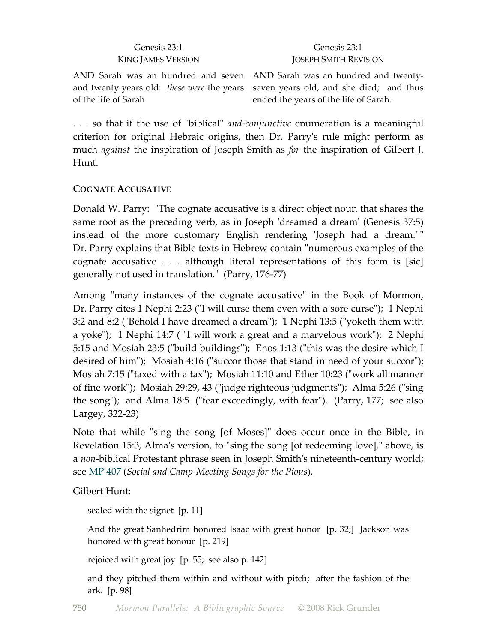# Genesis 23:1 KING JAMES VERSION

#### Genesis 23:1 JOSEPH SMITH REVISION

AND Sarah was an hundred and seven AND Sarah was an hundred and twentyand twenty years old: *these were* the years of the life of Sarah.

seven years old, and she died; and thus ended the years of the life of Sarah.

. . . so that if the use of "biblical" *and-conjunctive* enumeration is a meaningful criterion for original Hebraic origins, then Dr. Parry's rule might perform as much *against* the inspiration of Joseph Smith as *for* the inspiration of Gilbert J. Hunt.

# **COGNATE ACCUSATIVE**

Donald W. Parry: "The cognate accusative is a direct object noun that shares the same root as the preceding verb, as in Joseph 'dreamed a dream' (Genesis 37:5) instead of the more customary English rendering 'Joseph had a dream.' " Dr. Parry explains that Bible texts in Hebrew contain "numerous examples of the cognate accusative . . . although literal representations of this form is [sic] generally not used in translation." (Parry, 176-77)

Among "many instances of the cognate accusative" in the Book of Mormon, Dr. Parry cites 1 Nephi 2:23 ("I will curse them even with a sore curse"); 1 Nephi 3:2 and 8:2 ("Behold I have dreamed a dream"); 1 Nephi 13:5 ("yoketh them with a yoke"); 1 Nephi 14:7 ( "I will work a great and a marvelous work"); 2 Nephi 5:15 and Mosiah 23:5 ("build buildings"); Enos 1:13 ("this was the desire which I desired of him"); Mosiah 4:16 ("succor those that stand in need of your succor"); Mosiah 7:15 ("taxed with a tax"); Mosiah 11:10 and Ether 10:23 ("work all manner of fine work"); Mosiah 29:29, 43 ("judge righteous judgments"); Alma 5:26 ("sing the song"); and Alma 18:5 ("fear exceedingly, with fear"). (Parry, 177; see also Largey, 322-23)

Note that while "sing the song [of Moses]" does occur once in the Bible, in Revelation 15:3, Alma's version, to "sing the song [of redeeming love]," above, is a *non*-biblical Protestant phrase seen in Joseph Smith's nineteenth-century world; see MP 407 (*Social and Camp-Meeting Songs for the Pious*).

Gilbert Hunt:

sealed with the signet [p. 11]

And the great Sanhedrim honored Isaac with great honor [p. 32;] Jackson was honored with great honour [p. 219]

rejoiced with great joy [p. 55; see also p. 142]

and they pitched them within and without with pitch; after the fashion of the ark. [p. 98]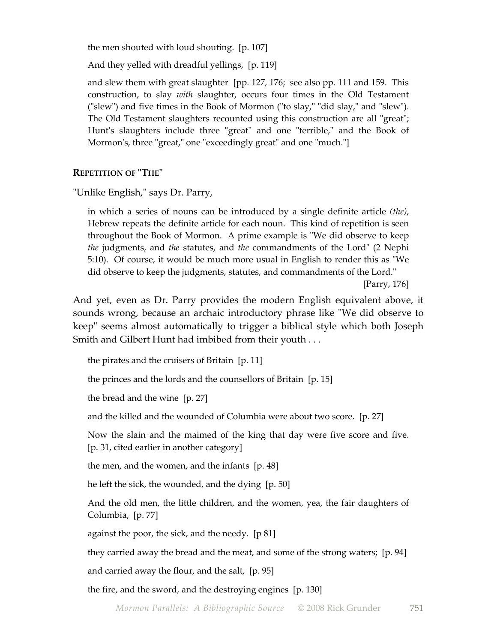the men shouted with loud shouting. [p. 107]

And they yelled with dreadful yellings, [p. 119]

and slew them with great slaughter [pp. 127, 176; see also pp. 111 and 159. This construction, to slay *with* slaughter, occurs four times in the Old Testament ("slew") and five times in the Book of Mormon ("to slay," "did slay," and "slew"). The Old Testament slaughters recounted using this construction are all "great"; Hunt's slaughters include three "great" and one "terrible," and the Book of Mormon's, three "great," one "exceedingly great" and one "much."]

# **REPETITION OF "THE"**

"Unlike English," says Dr. Parry,

in which a series of nouns can be introduced by a single definite article *(the)*, Hebrew repeats the definite article for each noun. This kind of repetition is seen throughout the Book of Mormon. A prime example is "We did observe to keep *the* judgments, and *the* statutes, and *the* commandments of the Lord" (2 Nephi 5:10). Of course, it would be much more usual in English to render this as "We did observe to keep the judgments, statutes, and commandments of the Lord."

[Parry, 176]

And yet, even as Dr. Parry provides the modern English equivalent above, it sounds wrong, because an archaic introductory phrase like "We did observe to keep" seems almost automatically to trigger a biblical style which both Joseph Smith and Gilbert Hunt had imbibed from their youth . . .

the pirates and the cruisers of Britain [p. 11]

the princes and the lords and the counsellors of Britain [p. 15]

the bread and the wine [p. 27]

and the killed and the wounded of Columbia were about two score. [p. 27]

Now the slain and the maimed of the king that day were five score and five. [p. 31, cited earlier in another category]

the men, and the women, and the infants [p. 48]

he left the sick, the wounded, and the dying [p. 50]

And the old men, the little children, and the women, yea, the fair daughters of Columbia, [p. 77]

against the poor, the sick, and the needy. [p 81]

they carried away the bread and the meat, and some of the strong waters; [p. 94]

and carried away the flour, and the salt, [p. 95]

the fire, and the sword, and the destroying engines [p. 130]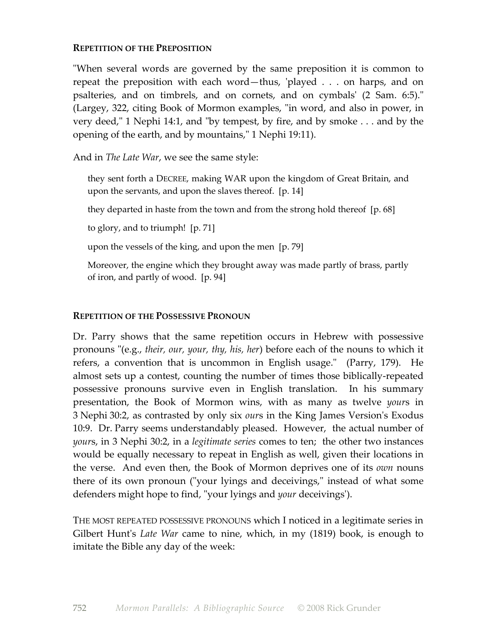# **REPETITION OF THE PREPOSITION**

"When several words are governed by the same preposition it is common to repeat the preposition with each word—thus, 'played . . . on harps, and on psalteries, and on timbrels, and on cornets, and on cymbals' (2 Sam. 6:5)." (Largey, 322, citing Book of Mormon examples, "in word, and also in power, in very deed," 1 Nephi 14:1, and "by tempest, by fire, and by smoke . . . and by the opening of the earth, and by mountains," 1 Nephi 19:11).

And in *The Late War*, we see the same style:

they sent forth a DECREE, making WAR upon the kingdom of Great Britain, and upon the servants, and upon the slaves thereof. [p. 14]

they departed in haste from the town and from the strong hold thereof [p. 68]

to glory, and to triumph! [p. 71]

upon the vessels of the king, and upon the men [p. 79]

Moreover, the engine which they brought away was made partly of brass, partly of iron, and partly of wood. [p. 94]

# **REPETITION OF THE POSSESSIVE PRONOUN**

Dr. Parry shows that the same repetition occurs in Hebrew with possessive pronouns "(e.g., *their, our, your, thy, his, her*) before each of the nouns to which it refers, a convention that is uncommon in English usage." (Parry, 179). He almost sets up a contest, counting the number of times those biblically-repeated possessive pronouns survive even in English translation. In his summary presentation, the Book of Mormon wins, with as many as twelve *your*s in 3 Nephi 30:2, as contrasted by only six *our*s in the King James Version's Exodus 10:9. Dr. Parry seems understandably pleased. However, the actual number of *your*s, in 3 Nephi 30:2, in a *legitimate series* comes to ten; the other two instances would be equally necessary to repeat in English as well, given their locations in the verse. And even then, the Book of Mormon deprives one of its *own* nouns there of its own pronoun ("your lyings and deceivings," instead of what some defenders might hope to find, "your lyings and *your* deceivings').

THE MOST REPEATED POSSESSIVE PRONOUNS which I noticed in a legitimate series in Gilbert Hunt's *Late War* came to nine, which, in my (1819) book, is enough to imitate the Bible any day of the week: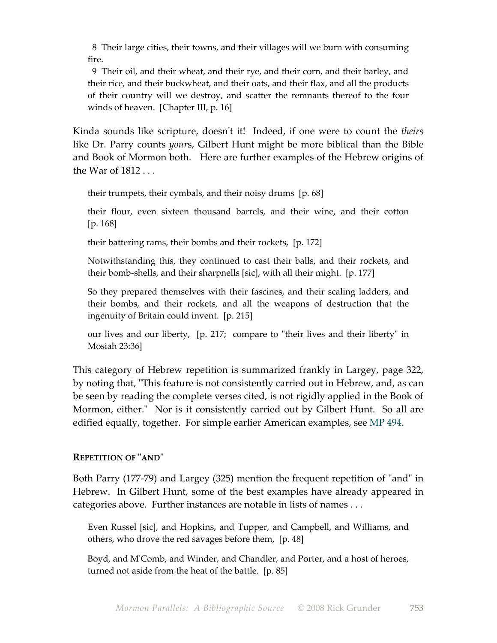8 Their large cities, their towns, and their villages will we burn with consuming fire.

 9 Their oil, and their wheat, and their rye, and their corn, and their barley, and their rice, and their buckwheat, and their oats, and their flax, and all the products of their country will we destroy, and scatter the remnants thereof to the four winds of heaven. [Chapter III, p. 16]

Kinda sounds like scripture, doesn't it! Indeed, if one were to count the *their*s like Dr. Parry counts *your*s, Gilbert Hunt might be more biblical than the Bible and Book of Mormon both. Here are further examples of the Hebrew origins of the War of 1812 . . .

their trumpets, their cymbals, and their noisy drums [p. 68]

their flour, even sixteen thousand barrels, and their wine, and their cotton [p. 168]

their battering rams, their bombs and their rockets, [p. 172]

Notwithstanding this, they continued to cast their balls, and their rockets, and their bomb-shells, and their sharpnells [sic], with all their might. [p. 177]

So they prepared themselves with their fascines, and their scaling ladders, and their bombs, and their rockets, and all the weapons of destruction that the ingenuity of Britain could invent. [p. 215]

our lives and our liberty, [p. 217; compare to "their lives and their liberty" in Mosiah 23:36]

This category of Hebrew repetition is summarized frankly in Largey, page 322, by noting that, "This feature is not consistently carried out in Hebrew, and, as can be seen by reading the complete verses cited, is not rigidly applied in the Book of Mormon, either." Nor is it consistently carried out by Gilbert Hunt. So all are edified equally, together. For simple earlier American examples, see MP 494.

# **REPETITION OF** "**AND**"

Both Parry (177-79) and Largey (325) mention the frequent repetition of "and" in Hebrew. In Gilbert Hunt, some of the best examples have already appeared in categories above. Further instances are notable in lists of names . . .

Even Russel [sic], and Hopkins, and Tupper, and Campbell, and Williams, and others, who drove the red savages before them, [p. 48]

Boyd, and M'Comb, and Winder, and Chandler, and Porter, and a host of heroes, turned not aside from the heat of the battle. [p. 85]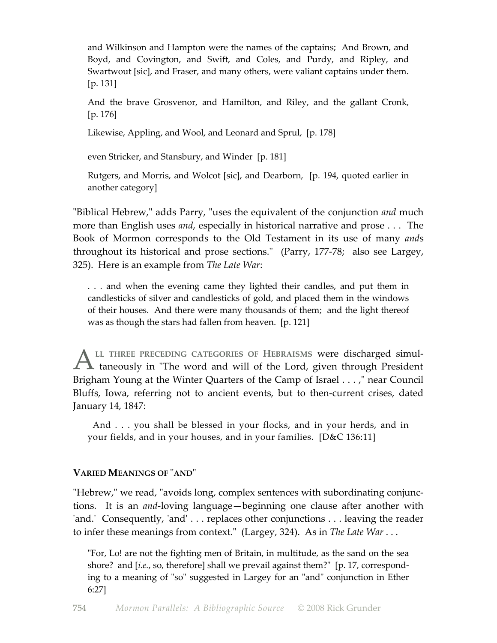and Wilkinson and Hampton were the names of the captains; And Brown, and Boyd, and Covington, and Swift, and Coles, and Purdy, and Ripley, and Swartwout [sic], and Fraser, and many others, were valiant captains under them. [p. 131]

And the brave Grosvenor, and Hamilton, and Riley, and the gallant Cronk, [p. 176]

Likewise, Appling, and Wool, and Leonard and Sprul, [p. 178]

even Stricker, and Stansbury, and Winder [p. 181]

Rutgers, and Morris, and Wolcot [sic], and Dearborn, [p. 194, quoted earlier in another category]

"Biblical Hebrew," adds Parry, "uses the equivalent of the conjunction *and* much more than English uses *and*, especially in historical narrative and prose . . . The Book of Mormon corresponds to the Old Testament in its use of many *and*s throughout its historical and prose sections." (Parry, 177-78; also see Largey, 325). Here is an example from *The Late War*:

. . . and when the evening came they lighted their candles, and put them in candlesticks of silver and candlesticks of gold, and placed them in the windows of their houses. And there were many thousands of them; and the light thereof was as though the stars had fallen from heaven. [p. 121]

**LL THREE PRECEDING CATEGORIES OF HEBRAISMS** were discharged simul taneously in "The word and will of the Lord, given through President Brigham Young at the Winter Quarters of the Camp of Israel . . . ," near Council Bluffs, Iowa, referring not to ancient events, but to then-current crises, dated January 14, 1847:  $\overline{A}$ 

 And . . . you shall be blessed in your flocks, and in your herds, and in your fields, and in your houses, and in your families. [D&C 136:11]

# **VARIED MEANINGS OF** "**AND**"

"Hebrew," we read, "avoids long, complex sentences with subordinating conjunctions. It is an *and*-loving language—beginning one clause after another with 'and.' Consequently, 'and' . . . replaces other conjunctions . . . leaving the reader to infer these meanings from context." (Largey, 324). As in *The Late War* ...

"For, Lo! are not the fighting men of Britain, in multitude, as the sand on the sea shore? and [*i.e.*, so, therefore] shall we prevail against them?" [p. 17, corresponding to a meaning of "so" suggested in Largey for an "and" conjunction in Ether 6:27]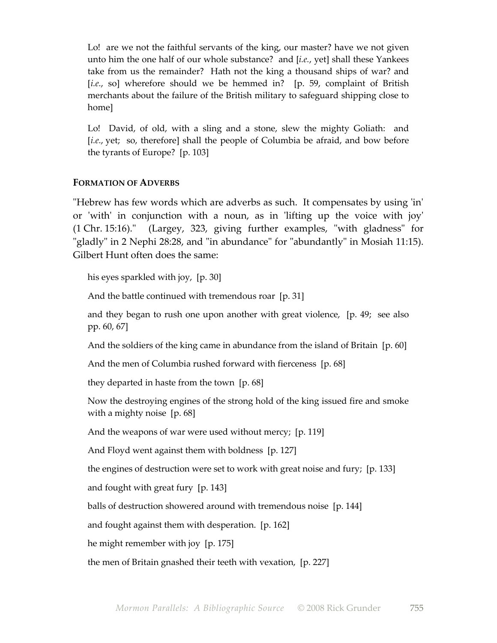Lo! are we not the faithful servants of the king, our master? have we not given unto him the one half of our whole substance? and [*i.e.*, yet] shall these Yankees take from us the remainder? Hath not the king a thousand ships of war? and [*i.e.*, so] wherefore should we be hemmed in? [p. 59, complaint of British merchants about the failure of the British military to safeguard shipping close to home]

Lo! David, of old, with a sling and a stone, slew the mighty Goliath: and [*i.e.*, yet; so, therefore] shall the people of Columbia be afraid, and bow before the tyrants of Europe? [p. 103]

# **FORMATION OF ADVERBS**

"Hebrew has few words which are adverbs as such. It compensates by using 'in' or 'with' in conjunction with a noun, as in 'lifting up the voice with joy' (1 Chr. 15:16)." (Largey, 323, giving further examples, "with gladness" for "gladly" in 2 Nephi 28:28, and "in abundance" for "abundantly" in Mosiah 11:15). Gilbert Hunt often does the same:

his eyes sparkled with joy, [p. 30]

And the battle continued with tremendous roar [p. 31]

and they began to rush one upon another with great violence, [p. 49; see also pp. 60, 67]

And the soldiers of the king came in abundance from the island of Britain [p. 60]

And the men of Columbia rushed forward with fierceness [p. 68]

they departed in haste from the town [p. 68]

Now the destroying engines of the strong hold of the king issued fire and smoke with a mighty noise [p. 68]

And the weapons of war were used without mercy; [p. 119]

And Floyd went against them with boldness [p. 127]

the engines of destruction were set to work with great noise and fury; [p. 133]

and fought with great fury [p. 143]

balls of destruction showered around with tremendous noise [p. 144]

and fought against them with desperation. [p. 162]

he might remember with joy [p. 175]

the men of Britain gnashed their teeth with vexation, [p. 227]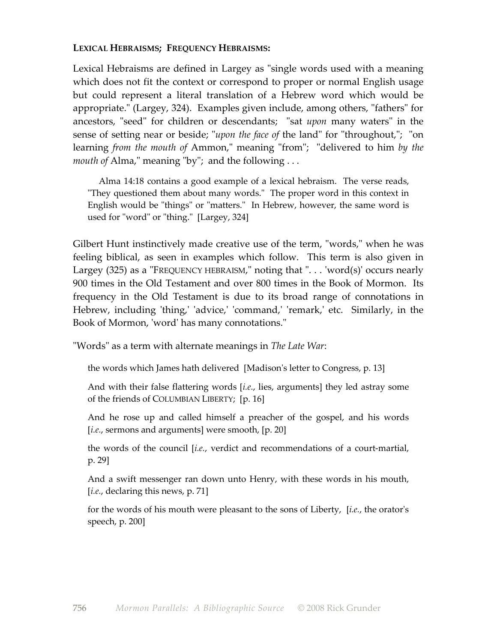# **LEXICAL HEBRAISMS; FREQUENCY HEBRAISMS:**

Lexical Hebraisms are defined in Largey as "single words used with a meaning which does not fit the context or correspond to proper or normal English usage but could represent a literal translation of a Hebrew word which would be appropriate." (Largey, 324). Examples given include, among others, "fathers" for ancestors, "seed" for children or descendants; "sat *upon* many waters" in the sense of setting near or beside; "*upon the face of* the land" for "throughout,"; "on learning *from the mouth of* Ammon," meaning "from"; "delivered to him *by the mouth of* Alma," meaning "by"; and the following . . .

 Alma 14:18 contains a good example of a lexical hebraism. The verse reads, "They questioned them about many words." The proper word in this context in English would be "things" or "matters." In Hebrew, however, the same word is used for "word" or "thing." [Largey, 324]

Gilbert Hunt instinctively made creative use of the term, "words," when he was feeling biblical, as seen in examples which follow. This term is also given in Largey  $(325)$  as a "FREQUENCY HEBRAISM," noting that "... 'word $(s)$ ' occurs nearly 900 times in the Old Testament and over 800 times in the Book of Mormon. Its frequency in the Old Testament is due to its broad range of connotations in Hebrew, including 'thing,' 'advice,' 'command,' 'remark,' etc. Similarly, in the Book of Mormon, 'word' has many connotations."

"Words" as a term with alternate meanings in *The Late War*:

the words which James hath delivered [Madison's letter to Congress, p. 13]

And with their false flattering words [*i.e.*, lies, arguments] they led astray some of the friends of COLUMBIAN LIBERTY; [p. 16]

And he rose up and called himself a preacher of the gospel, and his words [*i.e.*, sermons and arguments] were smooth, [p. 20]

the words of the council [*i.e.*, verdict and recommendations of a court-martial, p. 29]

And a swift messenger ran down unto Henry, with these words in his mouth, [*i.e.*, declaring this news, p. 71]

for the words of his mouth were pleasant to the sons of Liberty, [*i.e.*, the orator's speech, p. 200]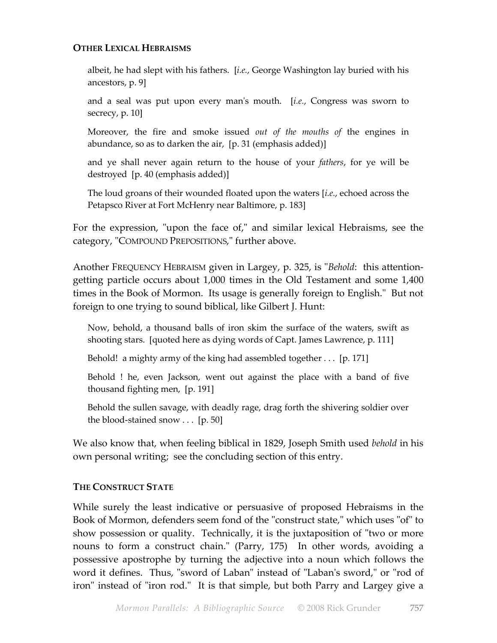# **OTHER LEXICAL HEBRAISMS**

albeit, he had slept with his fathers. [*i.e.*, George Washington lay buried with his ancestors, p. 9]

and a seal was put upon every man's mouth. [*i.e.*, Congress was sworn to secrecy, p. 10]

Moreover, the fire and smoke issued *out of the mouths of* the engines in abundance, so as to darken the air, [p. 31 (emphasis added)]

and ye shall never again return to the house of your *fathers*, for ye will be destroyed [p. 40 (emphasis added)]

The loud groans of their wounded floated upon the waters [*i.e.*, echoed across the Petapsco River at Fort McHenry near Baltimore, p. 183]

For the expression, "upon the face of," and similar lexical Hebraisms, see the category, "COMPOUND PREPOSITIONS," further above.

Another FREQUENCY HEBRAISM given in Largey, p. 325, is "*Behold*: this attentiongetting particle occurs about 1,000 times in the Old Testament and some 1,400 times in the Book of Mormon. Its usage is generally foreign to English." But not foreign to one trying to sound biblical, like Gilbert J. Hunt:

Now, behold, a thousand balls of iron skim the surface of the waters, swift as shooting stars. [quoted here as dying words of Capt. James Lawrence, p. 111]

Behold! a mighty army of the king had assembled together . . . [p. 171]

Behold ! he, even Jackson, went out against the place with a band of five thousand fighting men, [p. 191]

Behold the sullen savage, with deadly rage, drag forth the shivering soldier over the blood-stained snow  $\ldots$  [p. 50]

We also know that, when feeling biblical in 1829, Joseph Smith used *behold* in his own personal writing; see the concluding section of this entry.

# **THE CONSTRUCT STATE**

While surely the least indicative or persuasive of proposed Hebraisms in the Book of Mormon, defenders seem fond of the "construct state," which uses "of" to show possession or quality. Technically, it is the juxtaposition of "two or more nouns to form a construct chain." (Parry, 175) In other words, avoiding a possessive apostrophe by turning the adjective into a noun which follows the word it defines. Thus, "sword of Laban" instead of "Laban's sword," or "rod of iron" instead of "iron rod." It is that simple, but both Parry and Largey give a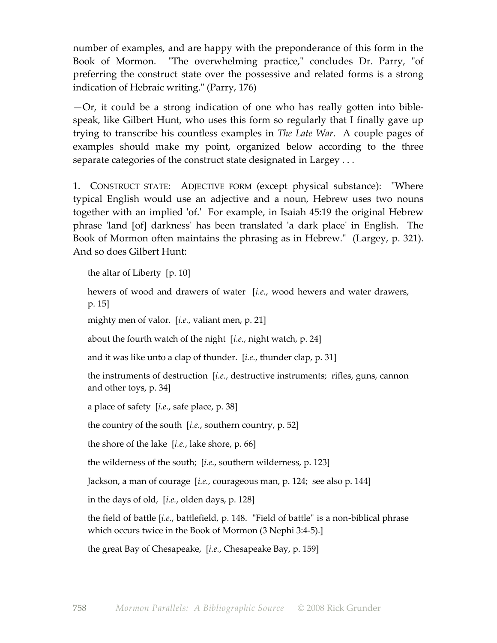number of examples, and are happy with the preponderance of this form in the Book of Mormon. "The overwhelming practice," concludes Dr. Parry, "of preferring the construct state over the possessive and related forms is a strong indication of Hebraic writing." (Parry, 176)

—Or, it could be a strong indication of one who has really gotten into biblespeak, like Gilbert Hunt, who uses this form so regularly that I finally gave up trying to transcribe his countless examples in *The Late War*. A couple pages of examples should make my point, organized below according to the three separate categories of the construct state designated in Largey . . .

1. CONSTRUCT STATE: ADJECTIVE FORM (except physical substance): "Where typical English would use an adjective and a noun, Hebrew uses two nouns together with an implied 'of.' For example, in Isaiah 45:19 the original Hebrew phrase 'land [of] darkness' has been translated 'a dark place' in English. The Book of Mormon often maintains the phrasing as in Hebrew." (Largey, p. 321). And so does Gilbert Hunt:

the altar of Liberty [p. 10]

hewers of wood and drawers of water [*i.e.*, wood hewers and water drawers, p. 15]

mighty men of valor. [*i.e.*, valiant men, p. 21]

about the fourth watch of the night [*i.e.*, night watch, p. 24]

and it was like unto a clap of thunder. [*i.e.*, thunder clap, p. 31]

the instruments of destruction [*i.e.*, destructive instruments; rifles, guns, cannon and other toys, p. 34]

a place of safety [*i.e.*, safe place, p. 38]

the country of the south [*i.e.*, southern country, p. 52]

the shore of the lake [*i.e.*, lake shore, p. 66]

the wilderness of the south; [*i.e.*, southern wilderness, p. 123]

Jackson, a man of courage [*i.e.*, courageous man, p. 124; see also p. 144]

in the days of old, [*i.e.*, olden days, p. 128]

the field of battle [*i.e.*, battlefield, p. 148. "Field of battle" is a non-biblical phrase which occurs twice in the Book of Mormon (3 Nephi 3:4-5).]

the great Bay of Chesapeake, [*i.e.*, Chesapeake Bay, p. 159]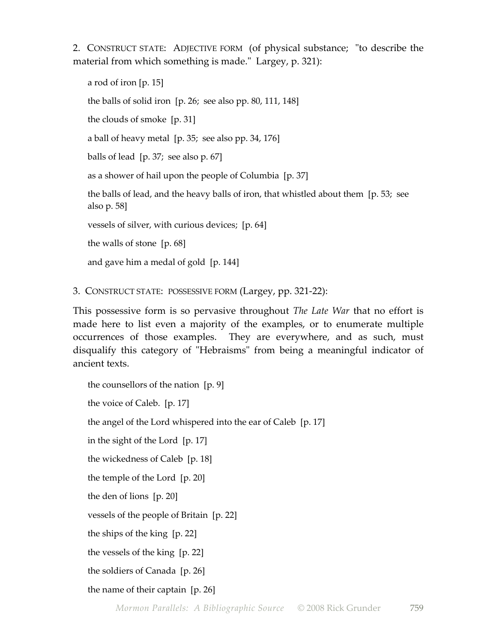2. CONSTRUCT STATE: ADJECTIVE FORM (of physical substance; "to describe the material from which something is made." Largey, p. 321):

a rod of iron [p. 15] the balls of solid iron [p. 26; see also pp. 80, 111, 148] the clouds of smoke [p. 31] a ball of heavy metal [p. 35; see also pp. 34, 176] balls of lead [p. 37; see also p. 67] as a shower of hail upon the people of Columbia [p. 37] the balls of lead, and the heavy balls of iron, that whistled about them [p. 53; see also p. 58] vessels of silver, with curious devices; [p. 64] the walls of stone [p. 68] and gave him a medal of gold [p. 144]

3. CONSTRUCT STATE: POSSESSIVE FORM (Largey, pp. 321-22):

This possessive form is so pervasive throughout *The Late War* that no effort is made here to list even a majority of the examples, or to enumerate multiple occurrences of those examples. They are everywhere, and as such, must disqualify this category of "Hebraisms" from being a meaningful indicator of ancient texts.

the counsellors of the nation [p. 9] the voice of Caleb. [p. 17] the angel of the Lord whispered into the ear of Caleb [p. 17] in the sight of the Lord [p. 17] the wickedness of Caleb [p. 18] the temple of the Lord [p. 20] the den of lions [p. 20] vessels of the people of Britain [p. 22] the ships of the king [p. 22] the vessels of the king [p. 22] the soldiers of Canada [p. 26]

the name of their captain [p. 26]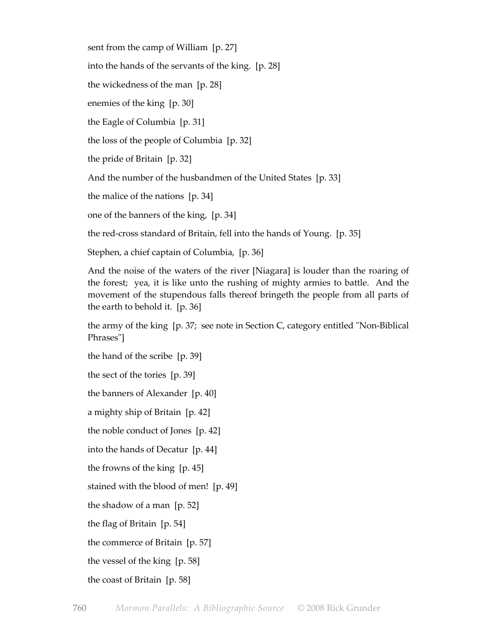sent from the camp of William [p. 27]

into the hands of the servants of the king. [p. 28]

the wickedness of the man [p. 28]

enemies of the king [p. 30]

the Eagle of Columbia [p. 31]

the loss of the people of Columbia [p. 32]

the pride of Britain [p. 32]

And the number of the husbandmen of the United States [p. 33]

the malice of the nations [p. 34]

one of the banners of the king, [p. 34]

the red-cross standard of Britain, fell into the hands of Young. [p. 35]

Stephen, a chief captain of Columbia, [p. 36]

And the noise of the waters of the river [Niagara] is louder than the roaring of the forest; yea, it is like unto the rushing of mighty armies to battle. And the movement of the stupendous falls thereof bringeth the people from all parts of the earth to behold it. [p. 36]

the army of the king [p. 37; see note in Section C, category entitled "Non-Biblical Phrases"]

the hand of the scribe [p. 39]

the sect of the tories [p. 39]

the banners of Alexander [p. 40]

a mighty ship of Britain [p. 42]

the noble conduct of Jones [p. 42]

into the hands of Decatur [p. 44]

the frowns of the king [p. 45]

stained with the blood of men! [p. 49]

the shadow of a man [p. 52]

the flag of Britain [p. 54]

the commerce of Britain [p. 57]

the vessel of the king [p. 58]

the coast of Britain [p. 58]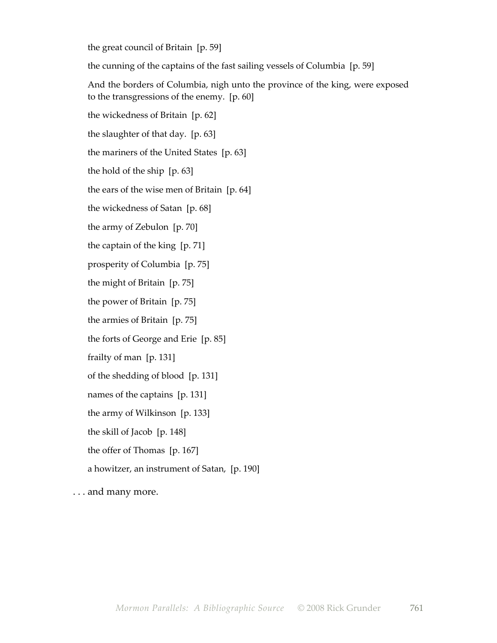the great council of Britain [p. 59]

the cunning of the captains of the fast sailing vessels of Columbia [p. 59]

And the borders of Columbia, nigh unto the province of the king, were exposed to the transgressions of the enemy. [p. 60]

the wickedness of Britain [p. 62]

the slaughter of that day. [p. 63]

the mariners of the United States [p. 63]

the hold of the ship [p. 63]

the ears of the wise men of Britain [p. 64]

the wickedness of Satan [p. 68]

the army of Zebulon [p. 70]

the captain of the king [p. 71]

prosperity of Columbia [p. 75]

the might of Britain [p. 75]

the power of Britain [p. 75]

the armies of Britain [p. 75]

the forts of George and Erie [p. 85]

frailty of man [p. 131]

of the shedding of blood [p. 131]

names of the captains [p. 131]

the army of Wilkinson [p. 133]

the skill of Jacob [p. 148]

the offer of Thomas [p. 167]

a howitzer, an instrument of Satan, [p. 190]

. . . and many more.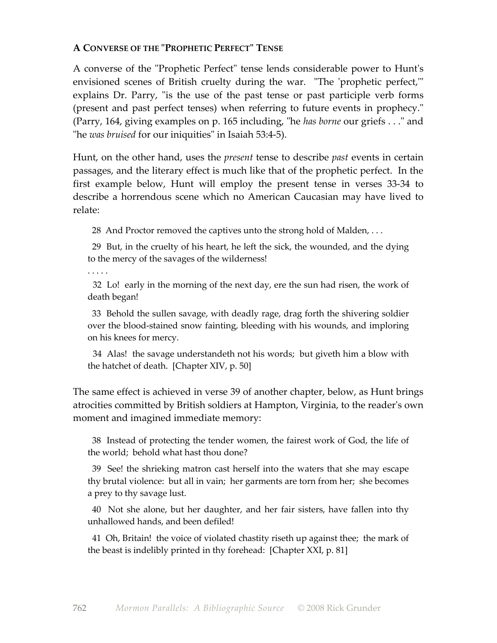# **A CONVERSE OF THE "PROPHETIC PERFECT" TENSE**

A converse of the "Prophetic Perfect" tense lends considerable power to Hunt's envisioned scenes of British cruelty during the war. "The 'prophetic perfect,'" explains Dr. Parry, "is the use of the past tense or past participle verb forms (present and past perfect tenses) when referring to future events in prophecy." (Parry, 164, giving examples on p. 165 including, "he *has borne* our griefs . . ." and "he *was bruised* for our iniquities" in Isaiah 53:4-5).

Hunt, on the other hand, uses the *present* tense to describe *past* events in certain passages, and the literary effect is much like that of the prophetic perfect. In the first example below, Hunt will employ the present tense in verses 33-34 to describe a horrendous scene which no American Caucasian may have lived to relate:

28 And Proctor removed the captives unto the strong hold of Malden, ...

 29 But, in the cruelty of his heart, he left the sick, the wounded, and the dying to the mercy of the savages of the wilderness!

. . . . .

 32 Lo! early in the morning of the next day, ere the sun had risen, the work of death began!

 33 Behold the sullen savage, with deadly rage, drag forth the shivering soldier over the blood-stained snow fainting, bleeding with his wounds, and imploring on his knees for mercy.

 34 Alas! the savage understandeth not his words; but giveth him a blow with the hatchet of death. [Chapter XIV, p. 50]

The same effect is achieved in verse 39 of another chapter, below, as Hunt brings atrocities committed by British soldiers at Hampton, Virginia, to the reader's own moment and imagined immediate memory:

 38 Instead of protecting the tender women, the fairest work of God, the life of the world; behold what hast thou done?

 39 See! the shrieking matron cast herself into the waters that she may escape thy brutal violence: but all in vain; her garments are torn from her; she becomes a prey to thy savage lust.

 40 Not she alone, but her daughter, and her fair sisters, have fallen into thy unhallowed hands, and been defiled!

 41 Oh, Britain! the voice of violated chastity riseth up against thee; the mark of the beast is indelibly printed in thy forehead: [Chapter XXI, p. 81]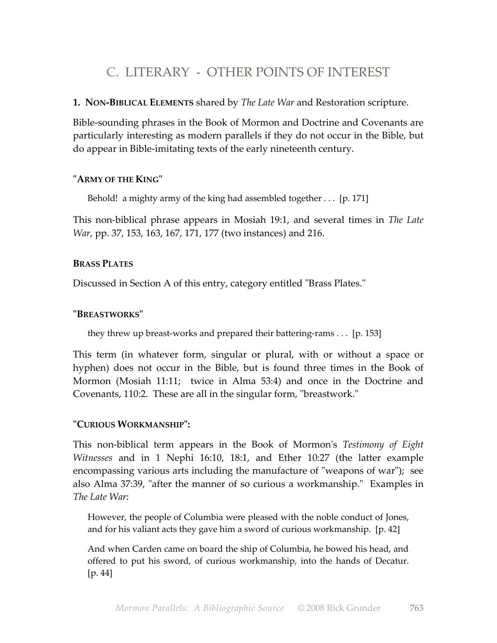# C. LITERARY - OTHER POINTS OF INTEREST

# **1. NON-BIBLICAL ELEMENTS** shared by *The Late War* and Restoration scripture.

Bible-sounding phrases in the Book of Mormon and Doctrine and Covenants are particularly interesting as modern parallels if they do not occur in the Bible, but do appear in Bible-imitating texts of the early nineteenth century.

# **"ARMY OF THE KING"**

Behold! a mighty army of the king had assembled together . . . [p. 171]

This non-biblical phrase appears in Mosiah 19:1, and several times in *The Late War*, pp. 37, 153, 163, 167, 171, 177 (two instances) and 216.

# **BRASS PLATES**

Discussed in Section A of this entry, category entitled "Brass Plates."

# **"BREASTWORKS"**

they threw up breast-works and prepared their battering-rams . . . [p. 153]

This term (in whatever form, singular or plural, with or without a space or hyphen) does not occur in the Bible, but is found three times in the Book of Mormon (Mosiah 11:11; twice in Alma 53:4) and once in the Doctrine and Covenants, 110:2. These are all in the singular form, "breastwork."

# **"CURIOUS WORKMANSHIP":**

This non-biblical term appears in the Book of Mormon's *Testimony of Eight Witnesses* and in 1 Nephi 16:10, 18:1, and Ether 10:27 (the latter example encompassing various arts including the manufacture of "weapons of war"); see also Alma 37:39, "after the manner of so curious a workmanship." Examples in *The Late War*:

However, the people of Columbia were pleased with the noble conduct of Jones, and for his valiant acts they gave him a sword of curious workmanship. [p. 42]

And when Carden came on board the ship of Columbia, he bowed his head, and offered to put his sword, of curious workmanship, into the hands of Decatur. [p. 44]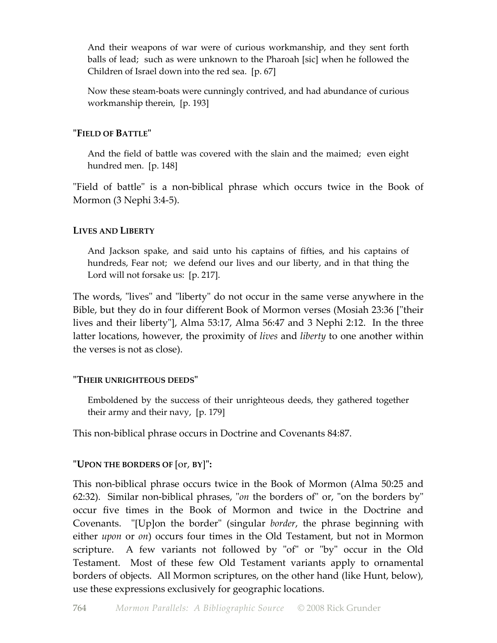And their weapons of war were of curious workmanship, and they sent forth balls of lead; such as were unknown to the Pharoah [sic] when he followed the Children of Israel down into the red sea. [p. 67]

Now these steam-boats were cunningly contrived, and had abundance of curious workmanship therein, [p. 193]

# **"FIELD OF BATTLE"**

And the field of battle was covered with the slain and the maimed; even eight hundred men. [p. 148]

"Field of battle" is a non-biblical phrase which occurs twice in the Book of Mormon (3 Nephi 3:4-5).

# **LIVES AND LIBERTY**

And Jackson spake, and said unto his captains of fifties, and his captains of hundreds, Fear not; we defend our lives and our liberty, and in that thing the Lord will not forsake us: [p. 217].

The words, "lives" and "liberty" do not occur in the same verse anywhere in the Bible, but they do in four different Book of Mormon verses (Mosiah 23:36 ["their lives and their liberty"], Alma 53:17, Alma 56:47 and 3 Nephi 2:12. In the three latter locations, however, the proximity of *lives* and *liberty* to one another within the verses is not as close).

# **"THEIR UNRIGHTEOUS DEEDS"**

Emboldened by the success of their unrighteous deeds, they gathered together their army and their navy, [p. 179]

This non-biblical phrase occurs in Doctrine and Covenants 84:87.

# **"UPON THE BORDERS OF** [or, **BY**]**":**

This non-biblical phrase occurs twice in the Book of Mormon (Alma 50:25 and 62:32). Similar non-biblical phrases, "*on* the borders of" or, "on the borders by" occur five times in the Book of Mormon and twice in the Doctrine and Covenants. "[Up]on the border" (singular *border*, the phrase beginning with either *upon* or *on*) occurs four times in the Old Testament, but not in Mormon scripture. A few variants not followed by "of" or "by" occur in the Old Testament. Most of these few Old Testament variants apply to ornamental borders of objects. All Mormon scriptures, on the other hand (like Hunt, below), use these expressions exclusively for geographic locations.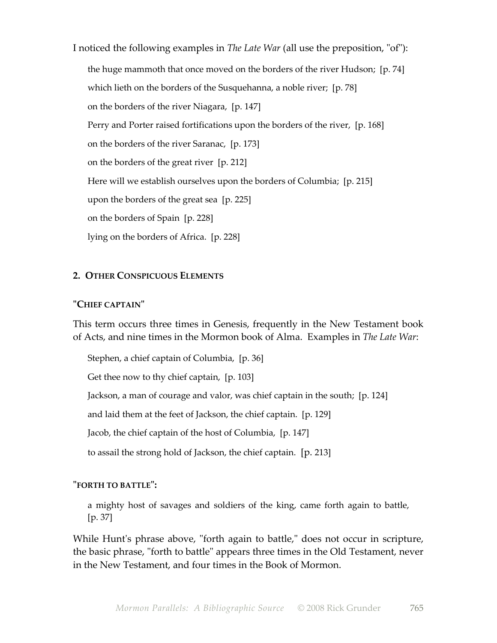I noticed the following examples in *The Late War* (all use the preposition, "of"): the huge mammoth that once moved on the borders of the river Hudson; [p. 74] which lieth on the borders of the Susquehanna, a noble river; [p. 78] on the borders of the river Niagara, [p. 147] Perry and Porter raised fortifications upon the borders of the river, [p. 168] on the borders of the river Saranac, [p. 173] on the borders of the great river [p. 212] Here will we establish ourselves upon the borders of Columbia; [p. 215] upon the borders of the great sea [p. 225] on the borders of Spain [p. 228] lying on the borders of Africa. [p. 228]

# **2. OTHER CONSPICUOUS ELEMENTS**

### **"CHIEF CAPTAIN"**

This term occurs three times in Genesis, frequently in the New Testament book of Acts, and nine times in the Mormon book of Alma. Examples in *The Late War*:

Stephen, a chief captain of Columbia, [p. 36]

Get thee now to thy chief captain, [p. 103]

Jackson, a man of courage and valor, was chief captain in the south; [p. 124]

and laid them at the feet of Jackson, the chief captain. [p. 129]

Jacob, the chief captain of the host of Columbia, [p. 147]

to assail the strong hold of Jackson, the chief captain. [p. 213]

#### **"FORTH TO BATTLE":**

a mighty host of savages and soldiers of the king, came forth again to battle, [p. 37]

While Hunt's phrase above, "forth again to battle," does not occur in scripture, the basic phrase, "forth to battle" appears three times in the Old Testament, never in the New Testament, and four times in the Book of Mormon.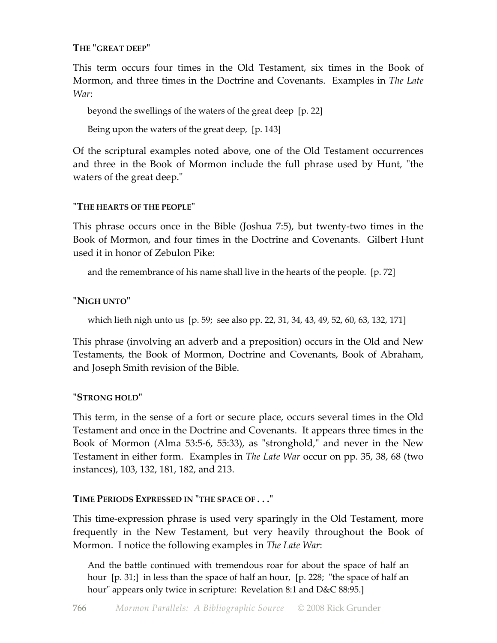# **THE "GREAT DEEP"**

This term occurs four times in the Old Testament, six times in the Book of Mormon, and three times in the Doctrine and Covenants. Examples in *The Late War*:

beyond the swellings of the waters of the great deep [p. 22]

Being upon the waters of the great deep, [p. 143]

Of the scriptural examples noted above, one of the Old Testament occurrences and three in the Book of Mormon include the full phrase used by Hunt, "the waters of the great deep."

# **"THE HEARTS OF THE PEOPLE"**

This phrase occurs once in the Bible (Joshua 7:5), but twenty-two times in the Book of Mormon, and four times in the Doctrine and Covenants. Gilbert Hunt used it in honor of Zebulon Pike:

and the remembrance of his name shall live in the hearts of the people. [p. 72]

# **"NIGH UNTO"**

which lieth nigh unto us [p. 59; see also pp. 22, 31, 34, 43, 49, 52, 60, 63, 132, 171]

This phrase (involving an adverb and a preposition) occurs in the Old and New Testaments, the Book of Mormon, Doctrine and Covenants, Book of Abraham, and Joseph Smith revision of the Bible.

# **"STRONG HOLD"**

This term, in the sense of a fort or secure place, occurs several times in the Old Testament and once in the Doctrine and Covenants. It appears three times in the Book of Mormon (Alma 53:5-6, 55:33), as "stronghold," and never in the New Testament in either form. Examples in *The Late War* occur on pp. 35, 38, 68 (two instances), 103, 132, 181, 182, and 213.

# **TIME PERIODS EXPRESSED IN "THE SPACE OF . . ."**

This time-expression phrase is used very sparingly in the Old Testament, more frequently in the New Testament, but very heavily throughout the Book of Mormon. I notice the following examples in *The Late War*:

And the battle continued with tremendous roar for about the space of half an hour [p. 31;] in less than the space of half an hour, [p. 228; "the space of half an hour" appears only twice in scripture: Revelation 8:1 and D&C 88:95.]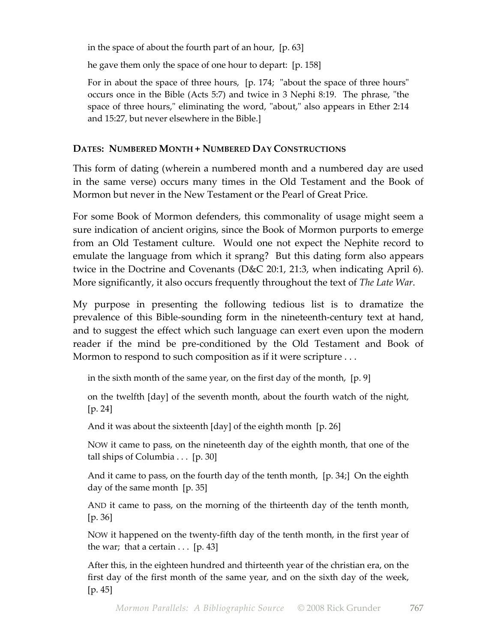in the space of about the fourth part of an hour, [p. 63]

he gave them only the space of one hour to depart: [p. 158]

For in about the space of three hours, [p. 174; "about the space of three hours" occurs once in the Bible (Acts 5:7) and twice in 3 Nephi 8:19. The phrase, "the space of three hours," eliminating the word, "about," also appears in Ether 2:14 and 15:27, but never elsewhere in the Bible.]

# **DATES: NUMBERED MONTH + NUMBERED DAY CONSTRUCTIONS**

This form of dating (wherein a numbered month and a numbered day are used in the same verse) occurs many times in the Old Testament and the Book of Mormon but never in the New Testament or the Pearl of Great Price.

For some Book of Mormon defenders, this commonality of usage might seem a sure indication of ancient origins, since the Book of Mormon purports to emerge from an Old Testament culture. Would one not expect the Nephite record to emulate the language from which it sprang? But this dating form also appears twice in the Doctrine and Covenants (D&C 20:1, 21:3, when indicating April 6). More significantly, it also occurs frequently throughout the text of *The Late War*.

My purpose in presenting the following tedious list is to dramatize the prevalence of this Bible-sounding form in the nineteenth-century text at hand, and to suggest the effect which such language can exert even upon the modern reader if the mind be pre-conditioned by the Old Testament and Book of Mormon to respond to such composition as if it were scripture . . .

in the sixth month of the same year, on the first day of the month, [p. 9]

on the twelfth [day] of the seventh month, about the fourth watch of the night, [p. 24]

And it was about the sixteenth [day] of the eighth month [p. 26]

NOW it came to pass, on the nineteenth day of the eighth month, that one of the tall ships of Columbia . . . [p. 30]

And it came to pass, on the fourth day of the tenth month, [p. 34;] On the eighth day of the same month [p. 35]

AND it came to pass, on the morning of the thirteenth day of the tenth month, [p. 36]

NOW it happened on the twenty-fifth day of the tenth month, in the first year of the war; that a certain  $\ldots$  [p. 43]

After this, in the eighteen hundred and thirteenth year of the christian era, on the first day of the first month of the same year, and on the sixth day of the week, [p. 45]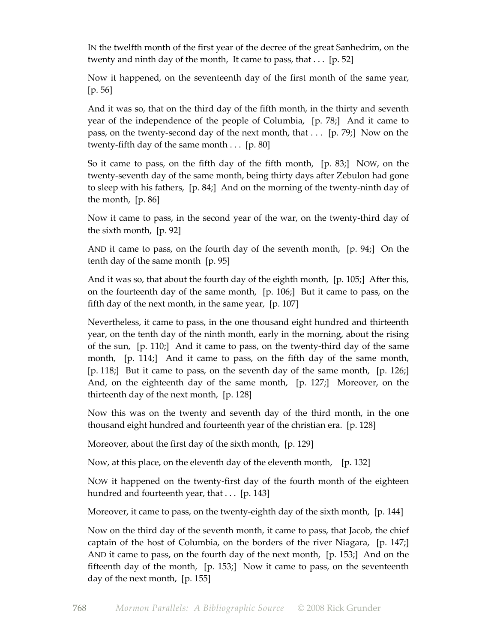IN the twelfth month of the first year of the decree of the great Sanhedrim, on the twenty and ninth day of the month, It came to pass, that  $\dots$  [p. 52]

Now it happened, on the seventeenth day of the first month of the same year, [p. 56]

And it was so, that on the third day of the fifth month, in the thirty and seventh year of the independence of the people of Columbia, [p. 78;] And it came to pass, on the twenty-second day of the next month, that . . . [p. 79;] Now on the twenty-fifth day of the same month . . . [p. 80]

So it came to pass, on the fifth day of the fifth month, [p. 83;] NOW, on the twenty-seventh day of the same month, being thirty days after Zebulon had gone to sleep with his fathers, [p. 84;] And on the morning of the twenty-ninth day of the month, [p. 86]

Now it came to pass, in the second year of the war, on the twenty-third day of the sixth month, [p. 92]

AND it came to pass, on the fourth day of the seventh month, [p. 94;] On the tenth day of the same month [p. 95]

And it was so, that about the fourth day of the eighth month, [p. 105;] After this, on the fourteenth day of the same month, [p. 106;] But it came to pass, on the fifth day of the next month, in the same year, [p. 107]

Nevertheless, it came to pass, in the one thousand eight hundred and thirteenth year, on the tenth day of the ninth month, early in the morning, about the rising of the sun, [p. 110;] And it came to pass, on the twenty-third day of the same month, [p. 114;] And it came to pass, on the fifth day of the same month, [p. 118;] But it came to pass, on the seventh day of the same month, [p. 126;] And, on the eighteenth day of the same month, [p. 127;] Moreover, on the thirteenth day of the next month, [p. 128]

Now this was on the twenty and seventh day of the third month, in the one thousand eight hundred and fourteenth year of the christian era. [p. 128]

Moreover, about the first day of the sixth month, [p. 129]

Now, at this place, on the eleventh day of the eleventh month, [p. 132]

NOW it happened on the twenty-first day of the fourth month of the eighteen hundred and fourteenth year, that . . . [p. 143]

Moreover, it came to pass, on the twenty-eighth day of the sixth month, [p. 144]

Now on the third day of the seventh month, it came to pass, that Jacob, the chief captain of the host of Columbia, on the borders of the river Niagara, [p. 147;] AND it came to pass, on the fourth day of the next month, [p. 153;] And on the fifteenth day of the month, [p. 153;] Now it came to pass, on the seventeenth day of the next month, [p. 155]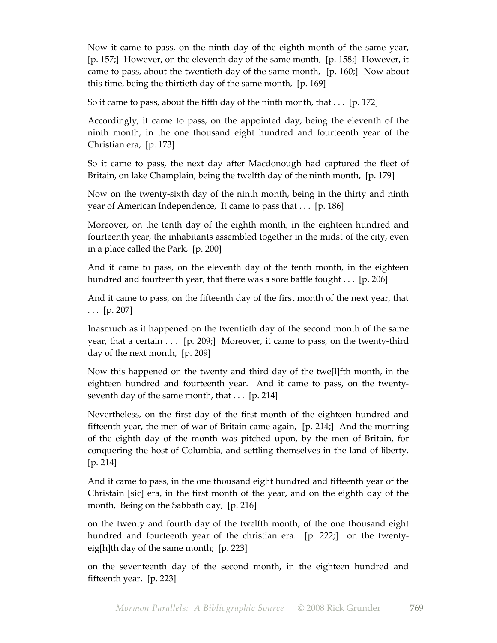Now it came to pass, on the ninth day of the eighth month of the same year, [p. 157;] However, on the eleventh day of the same month, [p. 158;] However, it came to pass, about the twentieth day of the same month, [p. 160;] Now about this time, being the thirtieth day of the same month, [p. 169]

So it came to pass, about the fifth day of the ninth month, that . . . [p. 172]

Accordingly, it came to pass, on the appointed day, being the eleventh of the ninth month, in the one thousand eight hundred and fourteenth year of the Christian era, [p. 173]

So it came to pass, the next day after Macdonough had captured the fleet of Britain, on lake Champlain, being the twelfth day of the ninth month, [p. 179]

Now on the twenty-sixth day of the ninth month, being in the thirty and ninth year of American Independence, It came to pass that . . . [p. 186]

Moreover, on the tenth day of the eighth month, in the eighteen hundred and fourteenth year, the inhabitants assembled together in the midst of the city, even in a place called the Park, [p. 200]

And it came to pass, on the eleventh day of the tenth month, in the eighteen hundred and fourteenth year, that there was a sore battle fought . . . [p. 206]

And it came to pass, on the fifteenth day of the first month of the next year, that . . . [p. 207]

Inasmuch as it happened on the twentieth day of the second month of the same year, that a certain . . . [p. 209;] Moreover, it came to pass, on the twenty-third day of the next month, [p. 209]

Now this happened on the twenty and third day of the twe[l]fth month, in the eighteen hundred and fourteenth year. And it came to pass, on the twentyseventh day of the same month, that . . . [p. 214]

Nevertheless, on the first day of the first month of the eighteen hundred and fifteenth year, the men of war of Britain came again, [p. 214;] And the morning of the eighth day of the month was pitched upon, by the men of Britain, for conquering the host of Columbia, and settling themselves in the land of liberty. [p. 214]

And it came to pass, in the one thousand eight hundred and fifteenth year of the Christain [sic] era, in the first month of the year, and on the eighth day of the month, Being on the Sabbath day, [p. 216]

on the twenty and fourth day of the twelfth month, of the one thousand eight hundred and fourteenth year of the christian era. [p. 222;] on the twentyeig[h]th day of the same month; [p. 223]

on the seventeenth day of the second month, in the eighteen hundred and fifteenth year. [p. 223]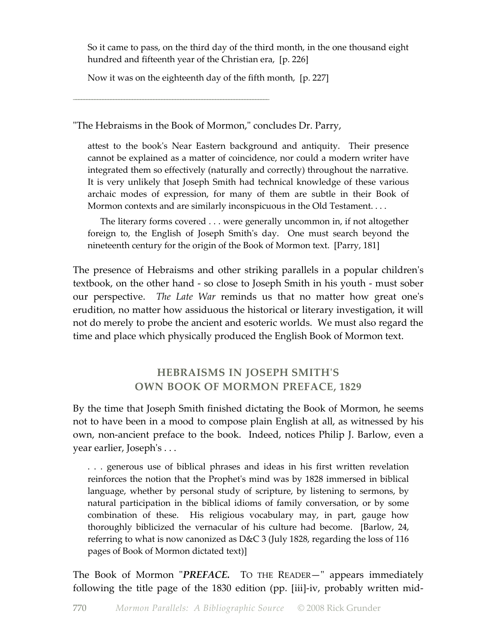So it came to pass, on the third day of the third month, in the one thousand eight hundred and fifteenth year of the Christian era, [p. 226]

Now it was on the eighteenth day of the fifth month, [p. 227]

\_\_\_\_\_\_\_\_\_\_\_\_\_\_\_\_\_\_\_\_\_\_\_\_\_\_\_\_\_\_\_\_\_\_\_\_\_\_\_\_\_\_\_\_\_\_\_\_\_\_\_\_\_\_\_\_\_\_\_\_\_\_\_\_\_\_\_\_\_\_\_\_\_

"The Hebraisms in the Book of Mormon," concludes Dr. Parry,

attest to the book's Near Eastern background and antiquity. Their presence cannot be explained as a matter of coincidence, nor could a modern writer have integrated them so effectively (naturally and correctly) throughout the narrative. It is very unlikely that Joseph Smith had technical knowledge of these various archaic modes of expression, for many of them are subtle in their Book of Mormon contexts and are similarly inconspicuous in the Old Testament....

 The literary forms covered . . . were generally uncommon in, if not altogether foreign to, the English of Joseph Smith's day. One must search beyond the nineteenth century for the origin of the Book of Mormon text. [Parry, 181]

The presence of Hebraisms and other striking parallels in a popular children's textbook, on the other hand - so close to Joseph Smith in his youth - must sober our perspective. *The Late War* reminds us that no matter how great one's erudition, no matter how assiduous the historical or literary investigation, it will not do merely to probe the ancient and esoteric worlds. We must also regard the time and place which physically produced the English Book of Mormon text.

# **HEBRAISMS IN JOSEPH SMITH'S OWN BOOK OF MORMON PREFACE, 1829**

By the time that Joseph Smith finished dictating the Book of Mormon, he seems not to have been in a mood to compose plain English at all, as witnessed by his own, non-ancient preface to the book. Indeed, notices Philip J. Barlow, even a year earlier, Joseph's . . .

. . . generous use of biblical phrases and ideas in his first written revelation reinforces the notion that the Prophet's mind was by 1828 immersed in biblical language, whether by personal study of scripture, by listening to sermons, by natural participation in the biblical idioms of family conversation, or by some combination of these. His religious vocabulary may, in part, gauge how thoroughly biblicized the vernacular of his culture had become. [Barlow, 24, referring to what is now canonized as D&C 3 (July 1828, regarding the loss of 116 pages of Book of Mormon dictated text)]

The Book of Mormon "*PREFACE.* TO THE READER—" appears immediately following the title page of the 1830 edition (pp. [iii]-iv, probably written mid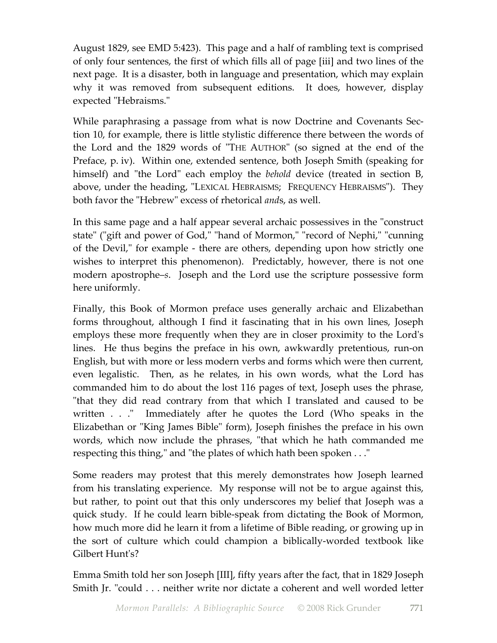August 1829, see EMD 5:423). This page and a half of rambling text is comprised of only four sentences, the first of which fills all of page [iii] and two lines of the next page. It is a disaster, both in language and presentation, which may explain why it was removed from subsequent editions. It does, however, display expected "Hebraisms."

While paraphrasing a passage from what is now Doctrine and Covenants Section 10, for example, there is little stylistic difference there between the words of the Lord and the 1829 words of "THE AUTHOR" (so signed at the end of the Preface, p. iv). Within one, extended sentence, both Joseph Smith (speaking for himself) and "the Lord" each employ the *behold* device (treated in section B, above, under the heading, "LEXICAL HEBRAISMS; FREQUENCY HEBRAISMS"). They both favor the "Hebrew" excess of rhetorical *and*s, as well.

In this same page and a half appear several archaic possessives in the "construct state" ("gift and power of God," "hand of Mormon," "record of Nephi," "cunning of the Devil," for example - there are others, depending upon how strictly one wishes to interpret this phenomenon). Predictably, however, there is not one modern apostrophe–*s*. Joseph and the Lord use the scripture possessive form here uniformly.

Finally, this Book of Mormon preface uses generally archaic and Elizabethan forms throughout, although I find it fascinating that in his own lines, Joseph employs these more frequently when they are in closer proximity to the Lord's lines. He thus begins the preface in his own, awkwardly pretentious, run-on English, but with more or less modern verbs and forms which were then current, even legalistic. Then, as he relates, in his own words, what the Lord has commanded him to do about the lost 116 pages of text, Joseph uses the phrase, "that they did read contrary from that which I translated and caused to be written . . ." Immediately after he quotes the Lord (Who speaks in the Elizabethan or "King James Bible" form), Joseph finishes the preface in his own words, which now include the phrases, "that which he hath commanded me respecting this thing," and "the plates of which hath been spoken . . ."

Some readers may protest that this merely demonstrates how Joseph learned from his translating experience. My response will not be to argue against this, but rather, to point out that this only underscores my belief that Joseph was a quick study. If he could learn bible-speak from dictating the Book of Mormon, how much more did he learn it from a lifetime of Bible reading, or growing up in the sort of culture which could champion a biblically-worded textbook like Gilbert Hunt's?

Emma Smith told her son Joseph [III], fifty years after the fact, that in 1829 Joseph Smith Jr. "could . . . neither write nor dictate a coherent and well worded letter